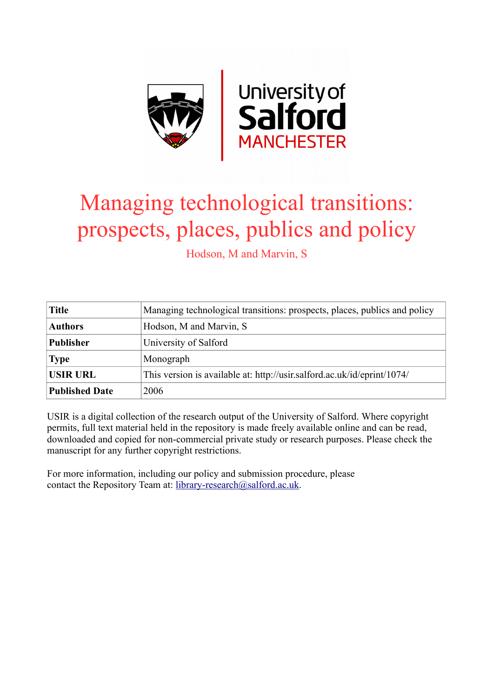

## Managing technological transitions: prospects, places, publics and policy

Hodson, M and Marvin, S

| <b>Title</b>          | Managing technological transitions: prospects, places, publics and policy |
|-----------------------|---------------------------------------------------------------------------|
| <b>Authors</b>        | Hodson, M and Marvin, S                                                   |
| <b>Publisher</b>      | University of Salford                                                     |
| <b>Type</b>           | Monograph                                                                 |
| <b>USIR URL</b>       | This version is available at: http://usir.salford.ac.uk/id/eprint/1074/   |
| <b>Published Date</b> | 2006                                                                      |

USIR is a digital collection of the research output of the University of Salford. Where copyright permits, full text material held in the repository is made freely available online and can be read, downloaded and copied for non-commercial private study or research purposes. Please check the manuscript for any further copyright restrictions.

For more information, including our policy and submission procedure, please contact the Repository Team at: [library-research@salford.ac.uk.](mailto:library-research@salford.ac.uk)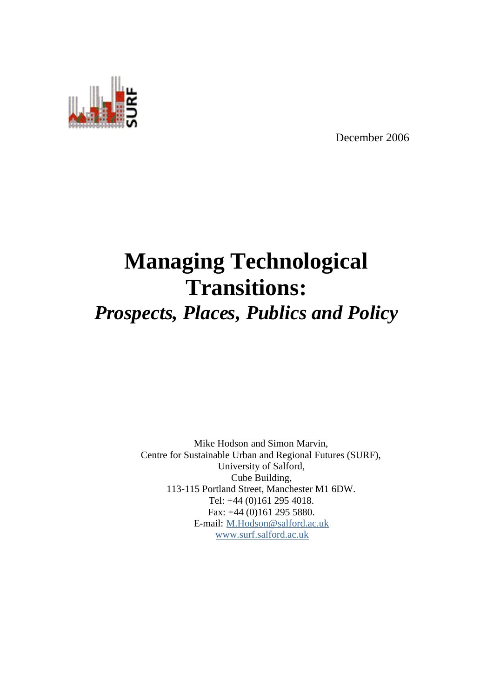

December 2006

# **Managing Technological Transitions:**

## *Prospects, Places, Publics and Policy*

Mike Hodson and Simon Marvin, Centre for Sustainable Urban and Regional Futures (SURF), University of Salford, Cube Building, 113-115 Portland Street, Manchester M1 6DW. Tel: +44 (0)161 295 4018. Fax: +44 (0)161 295 5880. E-mail: [M.Hodson@salford.ac.uk](mailto:M.Hodson@salford.ac.uk) [www.surf.salford.ac.uk](http://www.surf.salford.ac.uk/)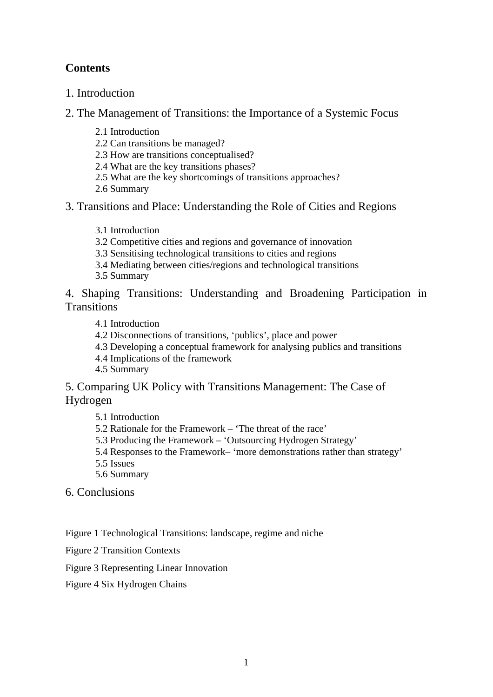### **Contents**

1. Introduction

#### 2. The Management of Transitions: the Importance of a Systemic Focus

- 2.1 Introduction
- 2.2 Can transitions be managed?
- 2.3 How are transitions conceptualised?
- 2.4 What are the key transitions phases?
- 2.5 What are the key shortcomings of transitions approaches?
- 2.6 Summary

#### 3. Transitions and Place: Understanding the Role of Cities and Regions

- 3.1 Introduction
- 3.2 Competitive cities and regions and governance of innovation
- 3.3 Sensitising technological transitions to cities and regions
- 3.4 Mediating between cities/regions and technological transitions
- 3.5 Summary

### 4. Shaping Transitions: Understanding and Broadening Participation in **Transitions**

- 4.1 Introduction
- 4.2 Disconnections of transitions, 'publics', place and power
- 4.3 Developing a conceptual framework for analysing publics and transitions
- 4.4 Implications of the framework
- 4.5 Summary

#### 5. Comparing UK Policy with Transitions Management: The Case of Hydrogen

5.1 Introduction

- 5.2 Rationale for the Framework 'The threat of the race'
- 5.3 Producing the Framework 'Outsourcing Hydrogen Strategy'
- 5.4 Responses to the Framework– 'more demonstrations rather than strategy'
- 5.5 Issues
- 5.6 Summary

6. Conclusions

#### Figure 1 Technological Transitions: landscape, regime and niche

Figure 2 Transition Contexts

Figure 3 Representing Linear Innovation

Figure 4 Six Hydrogen Chains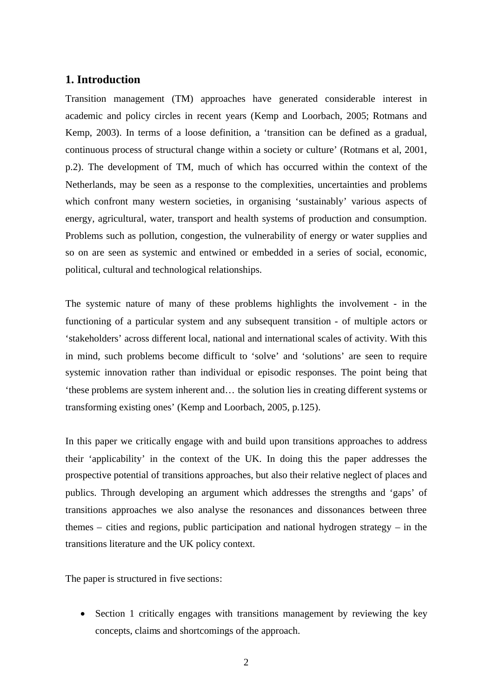#### **1. Introduction**

Transition management (TM) approaches have generated considerable interest in academic and policy circles in recent years (Kemp and Loorbach, 2005; Rotmans and Kemp, 2003). In terms of a loose definition, a 'transition can be defined as a gradual, continuous process of structural change within a society or culture' (Rotmans et al, 2001, p.2). The development of TM, much of which has occurred within the context of the Netherlands, may be seen as a response to the complexities, uncertainties and problems which confront many western societies, in organising 'sustainably' various aspects of energy, agricultural, water, transport and health systems of production and consumption. Problems such as pollution, congestion, the vulnerability of energy or water supplies and so on are seen as systemic and entwined or embedded in a series of social, economic, political, cultural and technological relationships.

The systemic nature of many of these problems highlights the involvement - in the functioning of a particular system and any subsequent transition - of multiple actors or 'stakeholders' across different local, national and international scales of activity. With this in mind, such problems become difficult to 'solve' and 'solutions' are seen to require systemic innovation rather than individual or episodic responses. The point being that 'these problems are system inherent and… the solution lies in creating different systems or transforming existing ones' (Kemp and Loorbach, 2005, p.125).

In this paper we critically engage with and build upon transitions approaches to address their 'applicability' in the context of the UK. In doing this the paper addresses the prospective potential of transitions approaches, but also their relative neglect of places and publics. Through developing an argument which addresses the strengths and 'gaps' of transitions approaches we also analyse the resonances and dissonances between three themes – cities and regions, public participation and national hydrogen strategy – in the transitions literature and the UK policy context.

The paper is structured in five sections:

 Section 1 critically engages with transitions management by reviewing the key concepts, claims and shortcomings of the approach.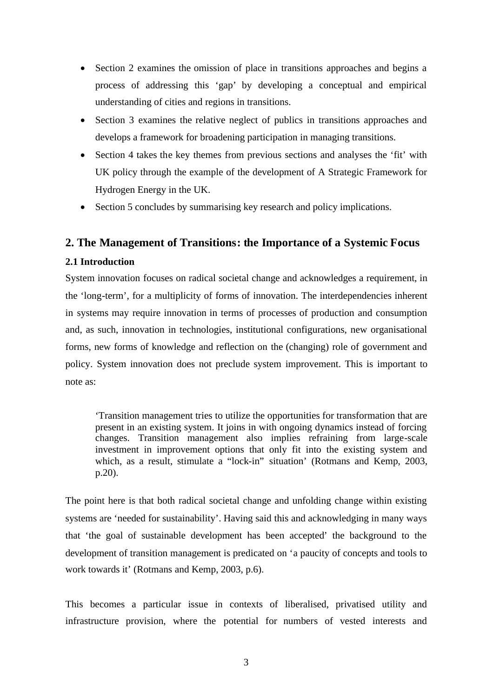- Section 2 examines the omission of place in transitions approaches and begins a process of addressing this 'gap' by developing a conceptual and empirical understanding of cities and regions in transitions.
- Section 3 examines the relative neglect of publics in transitions approaches and develops a framework for broadening participation in managing transitions.
- Section 4 takes the key themes from previous sections and analyses the 'fit' with UK policy through the example of the development of A Strategic Framework for Hydrogen Energy in the UK.
- Section 5 concludes by summarising key research and policy implications.

#### **2. The Management of Transitions: the Importance of a Systemic Focus**

#### **2.1 Introduction**

System innovation focuses on radical societal change and acknowledges a requirement, in the 'long-term', for a multiplicity of forms of innovation. The interdependencies inherent in systems may require innovation in terms of processes of production and consumption and, as such, innovation in technologies, institutional configurations, new organisational forms, new forms of knowledge and reflection on the (changing) role of government and policy. System innovation does not preclude system improvement. This is important to note as:

'Transition management tries to utilize the opportunities for transformation that are present in an existing system. It joins in with ongoing dynamics instead of forcing changes. Transition management also implies refraining from large-scale investment in improvement options that only fit into the existing system and which, as a result, stimulate a "lock-in" situation' (Rotmans and Kemp, 2003, p.20).

The point here is that both radical societal change and unfolding change within existing systems are 'needed for sustainability'. Having said this and acknowledging in many ways that 'the goal of sustainable development has been accepted' the background to the development of transition management is predicated on 'a paucity of concepts and tools to work towards it' (Rotmans and Kemp, 2003, p.6).

This becomes a particular issue in contexts of liberalised, privatised utility and infrastructure provision, where the potential for numbers of vested interests and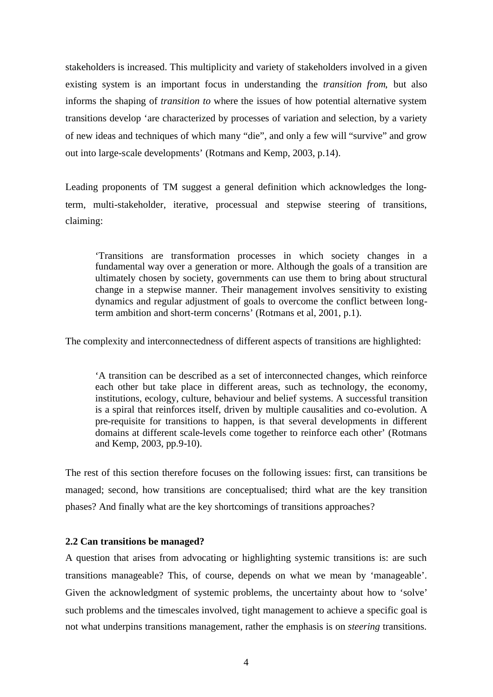stakeholders is increased. This multiplicity and variety of stakeholders involved in a given existing system is an important focus in understanding the *transition from*, but also informs the shaping of *transition to* where the issues of how potential alternative system transitions develop 'are characterized by processes of variation and selection, by a variety of new ideas and techniques of which many "die", and only a few will "survive" and grow out into large-scale developments' (Rotmans and Kemp, 2003, p.14).

Leading proponents of TM suggest a general definition which acknowledges the longterm, multi-stakeholder, iterative, processual and stepwise steering of transitions, claiming:

'Transitions are transformation processes in which society changes in a fundamental way over a generation or more. Although the goals of a transition are ultimately chosen by society, governments can use them to bring about structural change in a stepwise manner. Their management involves sensitivity to existing dynamics and regular adjustment of goals to overcome the conflict between longterm ambition and short-term concerns' (Rotmans et al, 2001, p.1).

The complexity and interconnectedness of different aspects of transitions are highlighted:

'A transition can be described as a set of interconnected changes, which reinforce each other but take place in different areas, such as technology, the economy, institutions, ecology, culture, behaviour and belief systems. A successful transition is a spiral that reinforces itself, driven by multiple causalities and co-evolution. A pre-requisite for transitions to happen, is that several developments in different domains at different scale-levels come together to reinforce each other' (Rotmans and Kemp, 2003, pp.9-10).

The rest of this section therefore focuses on the following issues: first, can transitions be managed; second, how transitions are conceptualised; third what are the key transition phases? And finally what are the key shortcomings of transitions approaches?

#### **2.2 Can transitions be managed?**

A question that arises from advocating or highlighting systemic transitions is: are such transitions manageable? This, of course, depends on what we mean by 'manageable'. Given the acknowledgment of systemic problems, the uncertainty about how to 'solve' such problems and the timescales involved, tight management to achieve a specific goal is not what underpins transitions management, rather the emphasis is on *steering* transitions.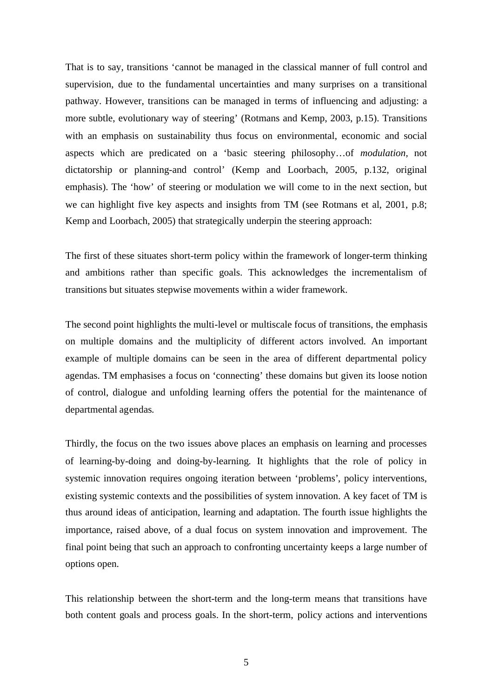That is to say, transitions 'cannot be managed in the classical manner of full control and supervision, due to the fundamental uncertainties and many surprises on a transitional pathway. However, transitions can be managed in terms of influencing and adjusting: a more subtle, evolutionary way of steering' (Rotmans and Kemp, 2003, p.15). Transitions with an emphasis on sustainability thus focus on environmental, economic and social aspects which are predicated on a 'basic steering philosophy…of *modulation,* not dictatorship or planning-and control' (Kemp and Loorbach, 2005, p.132, original emphasis). The 'how' of steering or modulation we will come to in the next section, but we can highlight five key aspects and insights from TM (see Rotmans et al, 2001, p.8; Kemp and Loorbach, 2005) that strategically underpin the steering approach:

The first of these situates short-term policy within the framework of longer-term thinking and ambitions rather than specific goals. This acknowledges the incrementalism of transitions but situates stepwise movements within a wider framework.

The second point highlights the multi-level or multiscale focus of transitions, the emphasis on multiple domains and the multiplicity of different actors involved. An important example of multiple domains can be seen in the area of different departmental policy agendas. TM emphasises a focus on 'connecting' these domains but given its loose notion of control, dialogue and unfolding learning offers the potential for the maintenance of departmental agendas.

Thirdly, the focus on the two issues above places an emphasis on learning and processes of learning-by-doing and doing-by-learning. It highlights that the role of policy in systemic innovation requires ongoing iteration between 'problems', policy interventions, existing systemic contexts and the possibilities of system innovation. A key facet of TM is thus around ideas of anticipation, learning and adaptation. The fourth issue highlights the importance, raised above, of a dual focus on system innovation and improvement. The final point being that such an approach to confronting uncertainty keeps a large number of options open.

This relationship between the short-term and the long-term means that transitions have both content goals and process goals. In the short-term, policy actions and interventions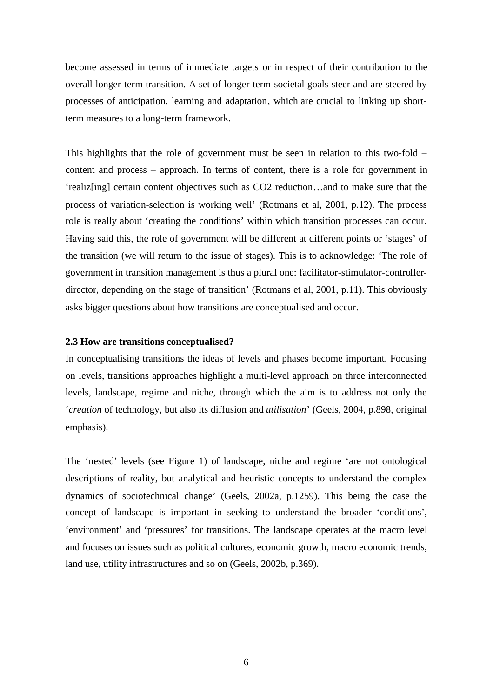become assessed in terms of immediate targets or in respect of their contribution to the overall longer-term transition. A set of longer-term societal goals steer and are steered by processes of anticipation, learning and adaptation, which are crucial to linking up shortterm measures to a long-term framework.

This highlights that the role of government must be seen in relation to this two-fold – content and process – approach. In terms of content, there is a role for government in 'realiz[ing] certain content objectives such as CO2 reduction…and to make sure that the process of variation-selection is working well' (Rotmans et al, 2001, p.12). The process role is really about 'creating the conditions' within which transition processes can occur. Having said this, the role of government will be different at different points or 'stages' of the transition (we will return to the issue of stages). This is to acknowledge: 'The role of government in transition management is thus a plural one: facilitator-stimulator-controllerdirector, depending on the stage of transition' (Rotmans et al, 2001, p.11). This obviously asks bigger questions about how transitions are conceptualised and occur.

#### **2.3 How are transitions conceptualised?**

In conceptualising transitions the ideas of levels and phases become important. Focusing on levels, transitions approaches highlight a multi-level approach on three interconnected levels, landscape, regime and niche, through which the aim is to address not only the '*creation* of technology, but also its diffusion and *utilisation*' (Geels, 2004, p.898, original emphasis).

The 'nested' levels (see Figure 1) of landscape, niche and regime 'are not ontological descriptions of reality, but analytical and heuristic concepts to understand the complex dynamics of sociotechnical change' (Geels, 2002a, p.1259). This being the case the concept of landscape is important in seeking to understand the broader 'conditions', 'environment' and 'pressures' for transitions. The landscape operates at the macro level and focuses on issues such as political cultures, economic growth, macro economic trends, land use, utility infrastructures and so on (Geels, 2002b, p.369).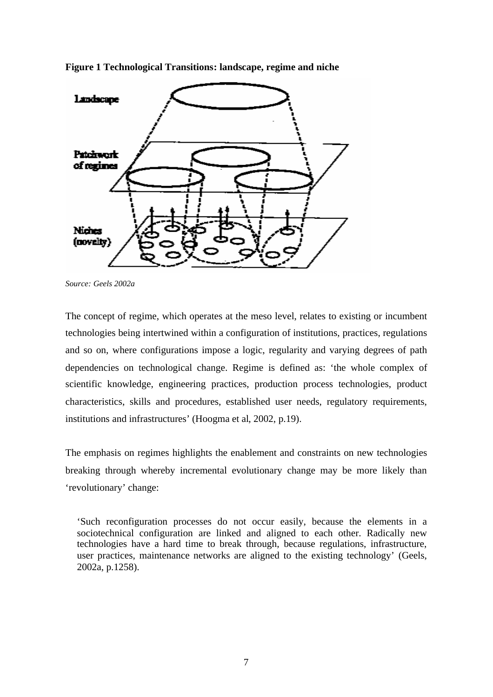**Figure 1 Technological Transitions: landscape, regime and niche**



*Source: Geels 2002a*

The concept of regime, which operates at the meso level, relates to existing or incumbent technologies being intertwined within a configuration of institutions, practices, regulations and so on, where configurations impose a logic, regularity and varying degrees of path dependencies on technological change. Regime is defined as: 'the whole complex of scientific knowledge, engineering practices, production process technologies, product characteristics, skills and procedures, established user needs, regulatory requirements, institutions and infrastructures' (Hoogma et al, 2002, p.19).

The emphasis on regimes highlights the enablement and constraints on new technologies breaking through whereby incremental evolutionary change may be more likely than 'revolutionary' change:

'Such reconfiguration processes do not occur easily, because the elements in a sociotechnical configuration are linked and aligned to each other. Radically new technologies have a hard time to break through, because regulations, infrastructure, user practices, maintenance networks are aligned to the existing technology' (Geels, 2002a, p.1258).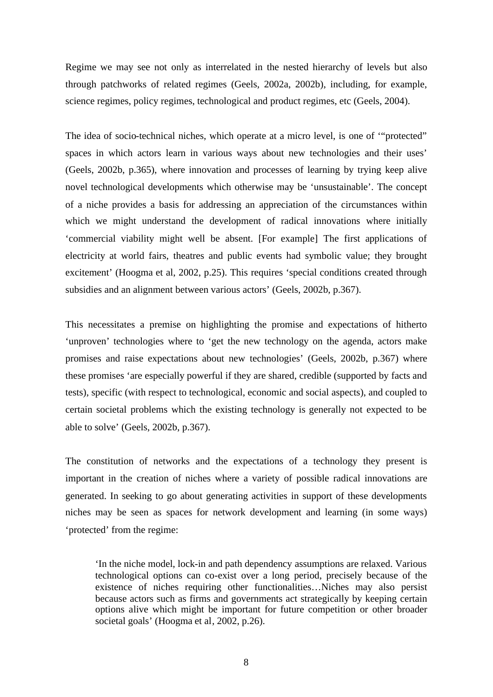Regime we may see not only as interrelated in the nested hierarchy of levels but also through patchworks of related regimes (Geels, 2002a, 2002b), including, for example, science regimes, policy regimes, technological and product regimes, etc (Geels, 2004).

The idea of socio-technical niches, which operate at a micro level, is one of '"protected" spaces in which actors learn in various ways about new technologies and their uses' (Geels, 2002b, p.365), where innovation and processes of learning by trying keep alive novel technological developments which otherwise may be 'unsustainable'. The concept of a niche provides a basis for addressing an appreciation of the circumstances within which we might understand the development of radical innovations where initially 'commercial viability might well be absent. [For example] The first applications of electricity at world fairs, theatres and public events had symbolic value; they brought excitement' (Hoogma et al, 2002, p.25). This requires 'special conditions created through subsidies and an alignment between various actors' (Geels, 2002b, p.367).

This necessitates a premise on highlighting the promise and expectations of hitherto 'unproven' technologies where to 'get the new technology on the agenda, actors make promises and raise expectations about new technologies' (Geels, 2002b, p.367) where these promises 'are especially powerful if they are shared, credible (supported by facts and tests), specific (with respect to technological, economic and social aspects), and coupled to certain societal problems which the existing technology is generally not expected to be able to solve' (Geels, 2002b, p.367).

The constitution of networks and the expectations of a technology they present is important in the creation of niches where a variety of possible radical innovations are generated. In seeking to go about generating activities in support of these developments niches may be seen as spaces for network development and learning (in some ways) 'protected' from the regime:

'In the niche model, lock-in and path dependency assumptions are relaxed. Various technological options can co-exist over a long period, precisely because of the existence of niches requiring other functionalities…Niches may also persist because actors such as firms and governments act strategically by keeping certain options alive which might be important for future competition or other broader societal goals' (Hoogma et al, 2002, p.26).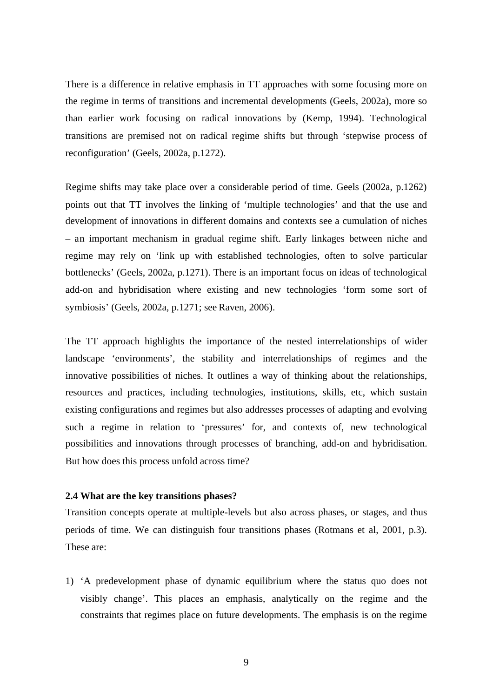There is a difference in relative emphasis in TT approaches with some focusing more on the regime in terms of transitions and incremental developments (Geels, 2002a), more so than earlier work focusing on radical innovations by (Kemp, 1994). Technological transitions are premised not on radical regime shifts but through 'stepwise process of reconfiguration' (Geels, 2002a, p.1272).

Regime shifts may take place over a considerable period of time. Geels (2002a, p.1262) points out that TT involves the linking of 'multiple technologies' and that the use and development of innovations in different domains and contexts see a cumulation of niches – an important mechanism in gradual regime shift. Early linkages between niche and regime may rely on 'link up with established technologies, often to solve particular bottlenecks' (Geels, 2002a, p.1271). There is an important focus on ideas of technological add-on and hybridisation where existing and new technologies 'form some sort of symbiosis' (Geels, 2002a, p.1271; see Raven, 2006).

The TT approach highlights the importance of the nested interrelationships of wider landscape 'environments', the stability and interrelationships of regimes and the innovative possibilities of niches. It outlines a way of thinking about the relationships, resources and practices, including technologies, institutions, skills, etc, which sustain existing configurations and regimes but also addresses processes of adapting and evolving such a regime in relation to 'pressures' for, and contexts of, new technological possibilities and innovations through processes of branching, add-on and hybridisation. But how does this process unfold across time?

#### **2.4 What are the key transitions phases?**

Transition concepts operate at multiple-levels but also across phases, or stages, and thus periods of time. We can distinguish four transitions phases (Rotmans et al, 2001, p.3). These are:

1) 'A predevelopment phase of dynamic equilibrium where the status quo does not visibly change'. This places an emphasis, analytically on the regime and the constraints that regimes place on future developments. The emphasis is on the regime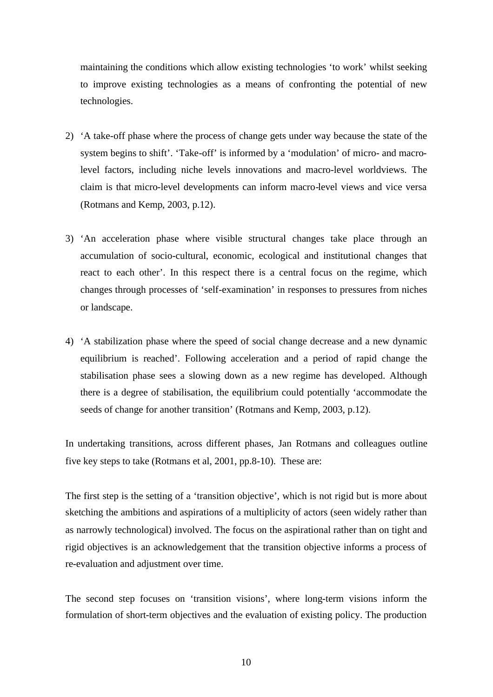maintaining the conditions which allow existing technologies 'to work' whilst seeking to improve existing technologies as a means of confronting the potential of new technologies.

- 2) 'A take-off phase where the process of change gets under way because the state of the system begins to shift'. 'Take-off' is informed by a 'modulation' of micro- and macrolevel factors, including niche levels innovations and macro-level worldviews. The claim is that micro-level developments can inform macro-level views and vice versa (Rotmans and Kemp, 2003, p.12).
- 3) 'An acceleration phase where visible structural changes take place through an accumulation of socio-cultural, economic, ecological and institutional changes that react to each other'. In this respect there is a central focus on the regime, which changes through processes of 'self-examination' in responses to pressures from niches or landscape.
- 4) 'A stabilization phase where the speed of social change decrease and a new dynamic equilibrium is reached'. Following acceleration and a period of rapid change the stabilisation phase sees a slowing down as a new regime has developed. Although there is a degree of stabilisation, the equilibrium could potentially 'accommodate the seeds of change for another transition' (Rotmans and Kemp, 2003, p.12).

In undertaking transitions, across different phases, Jan Rotmans and colleagues outline five key steps to take (Rotmans et al, 2001, pp.8-10). These are:

The first step is the setting of a 'transition objective', which is not rigid but is more about sketching the ambitions and aspirations of a multiplicity of actors (seen widely rather than as narrowly technological) involved. The focus on the aspirational rather than on tight and rigid objectives is an acknowledgement that the transition objective informs a process of re-evaluation and adjustment over time.

The second step focuses on 'transition visions', where long-term visions inform the formulation of short-term objectives and the evaluation of existing policy. The production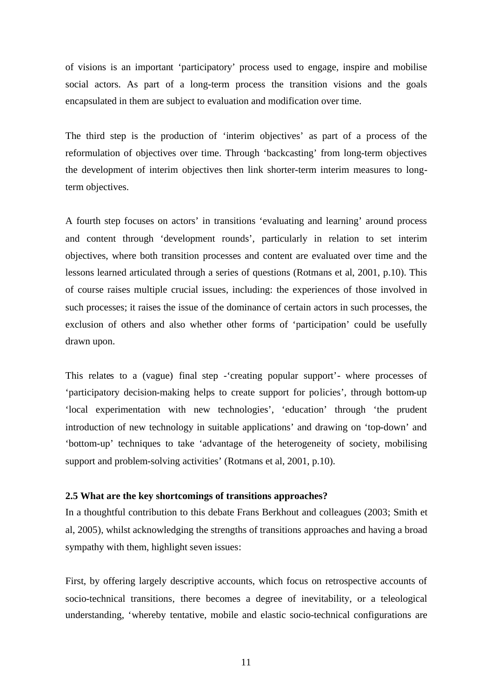of visions is an important 'participatory' process used to engage, inspire and mobilise social actors. As part of a long-term process the transition visions and the goals encapsulated in them are subject to evaluation and modification over time.

The third step is the production of 'interim objectives' as part of a process of the reformulation of objectives over time. Through 'backcasting' from long-term objectives the development of interim objectives then link shorter-term interim measures to longterm objectives.

A fourth step focuses on actors' in transitions 'evaluating and learning' around process and content through 'development rounds', particularly in relation to set interim objectives, where both transition processes and content are evaluated over time and the lessons learned articulated through a series of questions (Rotmans et al, 2001, p.10). This of course raises multiple crucial issues, including: the experiences of those involved in such processes; it raises the issue of the dominance of certain actors in such processes, the exclusion of others and also whether other forms of 'participation' could be usefully drawn upon.

This relates to a (vague) final step -'creating popular support'- where processes of 'participatory decision-making helps to create support for policies', through bottom-up 'local experimentation with new technologies', 'education' through 'the prudent introduction of new technology in suitable applications' and drawing on 'top-down' and 'bottom-up' techniques to take 'advantage of the heterogeneity of society, mobilising support and problem-solving activities' (Rotmans et al, 2001, p.10).

#### **2.5 What are the key shortcomings of transitions approaches?**

In a thoughtful contribution to this debate Frans Berkhout and colleagues (2003; Smith et al, 2005), whilst acknowledging the strengths of transitions approaches and having a broad sympathy with them, highlight seven issues:

First, by offering largely descriptive accounts, which focus on retrospective accounts of socio-technical transitions, there becomes a degree of inevitability, or a teleological understanding, 'whereby tentative, mobile and elastic socio-technical configurations are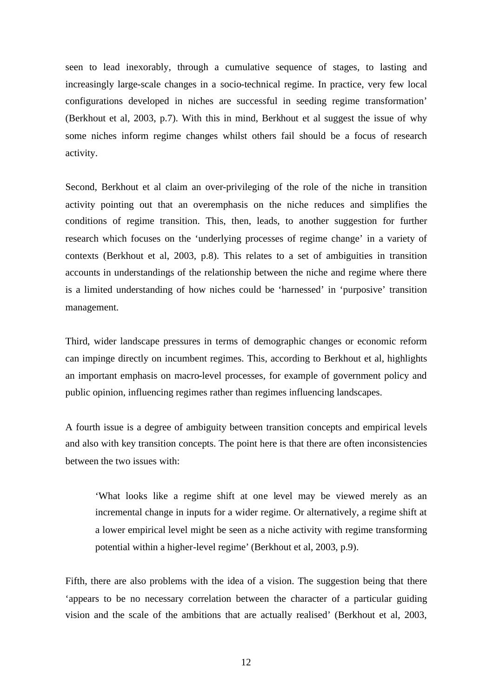seen to lead inexorably, through a cumulative sequence of stages, to lasting and increasingly large-scale changes in a socio-technical regime. In practice, very few local configurations developed in niches are successful in seeding regime transformation' (Berkhout et al, 2003, p.7). With this in mind, Berkhout et al suggest the issue of why some niches inform regime changes whilst others fail should be a focus of research activity.

Second, Berkhout et al claim an over-privileging of the role of the niche in transition activity pointing out that an overemphasis on the niche reduces and simplifies the conditions of regime transition. This, then, leads, to another suggestion for further research which focuses on the 'underlying processes of regime change' in a variety of contexts (Berkhout et al, 2003, p.8). This relates to a set of ambiguities in transition accounts in understandings of the relationship between the niche and regime where there is a limited understanding of how niches could be 'harnessed' in 'purposive' transition management.

Third, wider landscape pressures in terms of demographic changes or economic reform can impinge directly on incumbent regimes. This, according to Berkhout et al, highlights an important emphasis on macro-level processes, for example of government policy and public opinion, influencing regimes rather than regimes influencing landscapes.

A fourth issue is a degree of ambiguity between transition concepts and empirical levels and also with key transition concepts. The point here is that there are often inconsistencies between the two issues with:

'What looks like a regime shift at one level may be viewed merely as an incremental change in inputs for a wider regime. Or alternatively, a regime shift at a lower empirical level might be seen as a niche activity with regime transforming potential within a higher-level regime' (Berkhout et al, 2003, p.9).

Fifth, there are also problems with the idea of a vision. The suggestion being that there 'appears to be no necessary correlation between the character of a particular guiding vision and the scale of the ambitions that are actually realised' (Berkhout et al, 2003,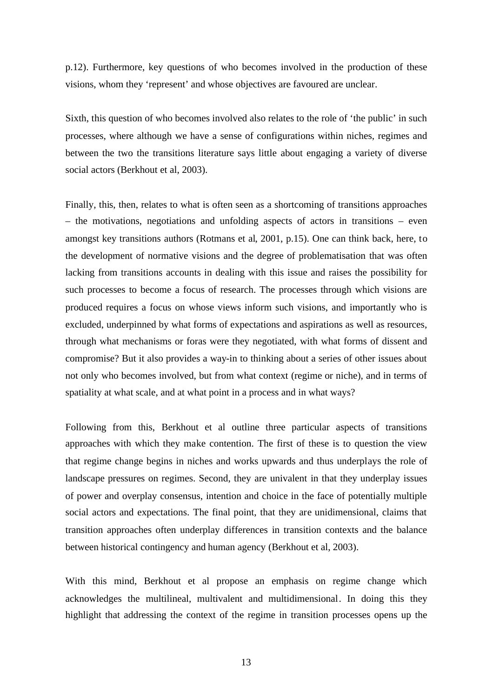p.12). Furthermore, key questions of who becomes involved in the production of these visions, whom they 'represent' and whose objectives are favoured are unclear.

Sixth, this question of who becomes involved also relates to the role of 'the public' in such processes, where although we have a sense of configurations within niches, regimes and between the two the transitions literature says little about engaging a variety of diverse social actors (Berkhout et al, 2003).

Finally, this, then, relates to what is often seen as a shortcoming of transitions approaches – the motivations, negotiations and unfolding aspects of actors in transitions – even amongst key transitions authors (Rotmans et al, 2001, p.15). One can think back, here, to the development of normative visions and the degree of problematisation that was often lacking from transitions accounts in dealing with this issue and raises the possibility for such processes to become a focus of research. The processes through which visions are produced requires a focus on whose views inform such visions, and importantly who is excluded, underpinned by what forms of expectations and aspirations as well as resources, through what mechanisms or foras were they negotiated, with what forms of dissent and compromise? But it also provides a way-in to thinking about a series of other issues about not only who becomes involved, but from what context (regime or niche), and in terms of spatiality at what scale, and at what point in a process and in what ways?

Following from this, Berkhout et al outline three particular aspects of transitions approaches with which they make contention. The first of these is to question the view that regime change begins in niches and works upwards and thus underplays the role of landscape pressures on regimes. Second, they are univalent in that they underplay issues of power and overplay consensus, intention and choice in the face of potentially multiple social actors and expectations. The final point, that they are unidimensional, claims that transition approaches often underplay differences in transition contexts and the balance between historical contingency and human agency (Berkhout et al, 2003).

With this mind, Berkhout et al propose an emphasis on regime change which acknowledges the multilineal, multivalent and multidimensional. In doing this they highlight that addressing the context of the regime in transition processes opens up the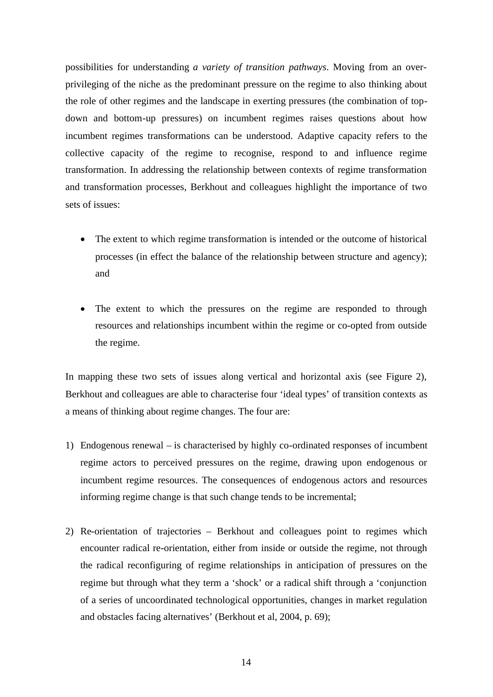possibilities for understanding *a variety of transition pathways*. Moving from an overprivileging of the niche as the predominant pressure on the regime to also thinking about the role of other regimes and the landscape in exerting pressures (the combination of topdown and bottom-up pressures) on incumbent regimes raises questions about how incumbent regimes transformations can be understood. Adaptive capacity refers to the collective capacity of the regime to recognise, respond to and influence regime transformation. In addressing the relationship between contexts of regime transformation and transformation processes, Berkhout and colleagues highlight the importance of two sets of issues:

- The extent to which regime transformation is intended or the outcome of historical processes (in effect the balance of the relationship between structure and agency); and
- The extent to which the pressures on the regime are responded to through resources and relationships incumbent within the regime or co-opted from outside the regime.

In mapping these two sets of issues along vertical and horizontal axis (see Figure 2), Berkhout and colleagues are able to characterise four 'ideal types' of transition contexts as a means of thinking about regime changes. The four are:

- 1) Endogenous renewal is characterised by highly co-ordinated responses of incumbent regime actors to perceived pressures on the regime, drawing upon endogenous or incumbent regime resources. The consequences of endogenous actors and resources informing regime change is that such change tends to be incremental;
- 2) Re-orientation of trajectories Berkhout and colleagues point to regimes which encounter radical re-orientation, either from inside or outside the regime, not through the radical reconfiguring of regime relationships in anticipation of pressures on the regime but through what they term a 'shock' or a radical shift through a 'conjunction of a series of uncoordinated technological opportunities, changes in market regulation and obstacles facing alternatives' (Berkhout et al, 2004, p. 69);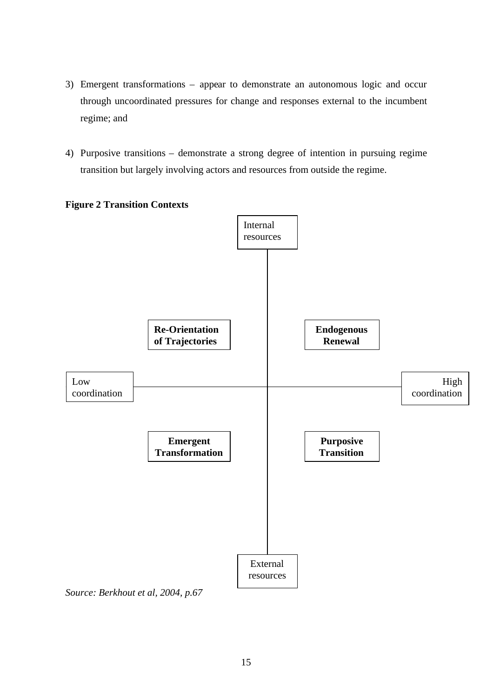- 3) Emergent transformations appear to demonstrate an autonomous logic and occur through uncoordinated pressures for change and responses external to the incumbent regime; and
- 4) Purposive transitions demonstrate a strong degree of intention in pursuing regime transition but largely involving actors and resources from outside the regime.

#### **Figure 2 Transition Contexts**

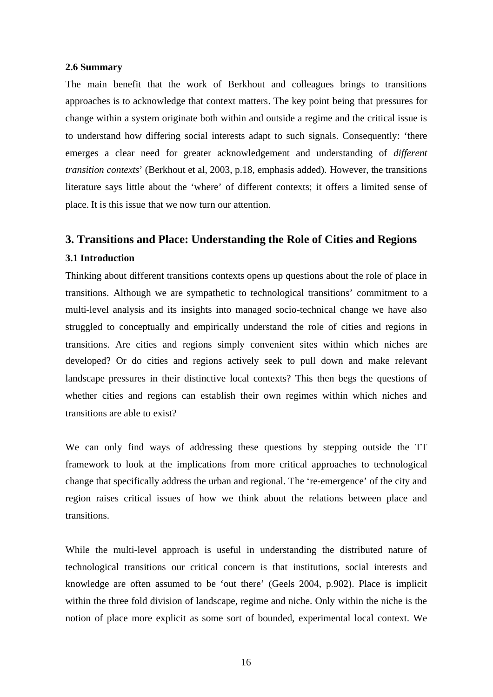#### **2.6 Summary**

The main benefit that the work of Berkhout and colleagues brings to transitions approaches is to acknowledge that context matters. The key point being that pressures for change within a system originate both within and outside a regime and the critical issue is to understand how differing social interests adapt to such signals. Consequently: 'there emerges a clear need for greater acknowledgement and understanding of *different transition contexts*' (Berkhout et al, 2003, p.18, emphasis added). However, the transitions literature says little about the 'where' of different contexts; it offers a limited sense of place. It is this issue that we now turn our attention.

#### **3. Transitions and Place: Understanding the Role of Cities and Regions**

#### **3.1 Introduction**

Thinking about different transitions contexts opens up questions about the role of place in transitions. Although we are sympathetic to technological transitions' commitment to a multi-level analysis and its insights into managed socio-technical change we have also struggled to conceptually and empirically understand the role of cities and regions in transitions. Are cities and regions simply convenient sites within which niches are developed? Or do cities and regions actively seek to pull down and make relevant landscape pressures in their distinctive local contexts? This then begs the questions of whether cities and regions can establish their own regimes within which niches and transitions are able to exist?

We can only find ways of addressing these questions by stepping outside the TT framework to look at the implications from more critical approaches to technological change that specifically address the urban and regional. The 're-emergence' of the city and region raises critical issues of how we think about the relations between place and transitions.

While the multi-level approach is useful in understanding the distributed nature of technological transitions our critical concern is that institutions, social interests and knowledge are often assumed to be 'out there' (Geels 2004, p.902). Place is implicit within the three fold division of landscape, regime and niche. Only within the niche is the notion of place more explicit as some sort of bounded, experimental local context. We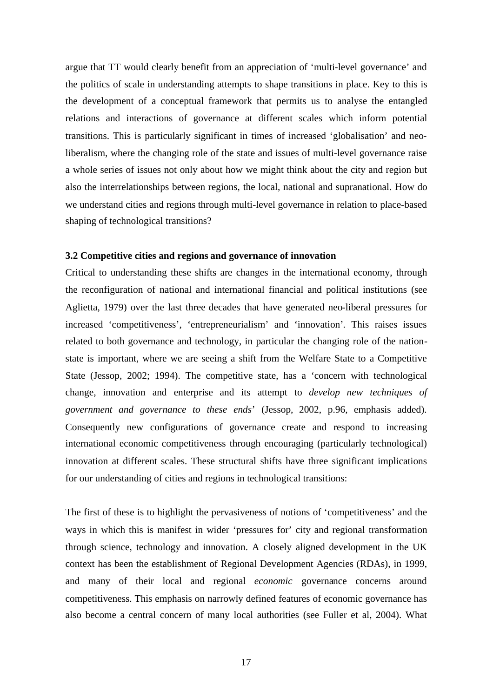argue that TT would clearly benefit from an appreciation of 'multi-level governance' and the politics of scale in understanding attempts to shape transitions in place. Key to this is the development of a conceptual framework that permits us to analyse the entangled relations and interactions of governance at different scales which inform potential transitions. This is particularly significant in times of increased 'globalisation' and neoliberalism, where the changing role of the state and issues of multi-level governance raise a whole series of issues not only about how we might think about the city and region but also the interrelationships between regions, the local, national and supranational. How do we understand cities and regions through multi-level governance in relation to place-based shaping of technological transitions?

#### **3.2 Competitive cities and regions and governance of innovation**

Critical to understanding these shifts are changes in the international economy, through the reconfiguration of national and international financial and political institutions (see Aglietta, 1979) over the last three decades that have generated neo-liberal pressures for increased 'competitiveness', 'entrepreneurialism' and 'innovation'. This raises issues related to both governance and technology, in particular the changing role of the nationstate is important, where we are seeing a shift from the Welfare State to a Competitive State (Jessop, 2002; 1994). The competitive state, has a 'concern with technological change, innovation and enterprise and its attempt to *develop new techniques of government and governance to these ends*' (Jessop, 2002, p.96, emphasis added). Consequently new configurations of governance create and respond to increasing international economic competitiveness through encouraging (particularly technological) innovation at different scales. These structural shifts have three significant implications for our understanding of cities and regions in technological transitions:

The first of these is to highlight the pervasiveness of notions of 'competitiveness' and the ways in which this is manifest in wider 'pressures for' city and regional transformation through science, technology and innovation. A closely aligned development in the UK context has been the establishment of Regional Development Agencies (RDAs), in 1999, and many of their local and regional *economic* governance concerns around competitiveness. This emphasis on narrowly defined features of economic governance has also become a central concern of many local authorities (see Fuller et al, 2004). What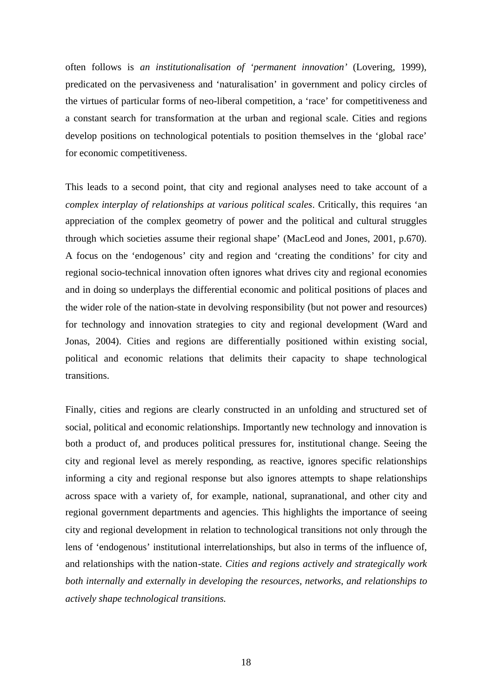often follows is *an institutionalisation of 'permanent innovation'* (Lovering, 1999), predicated on the pervasiveness and 'naturalisation' in government and policy circles of the virtues of particular forms of neo-liberal competition, a 'race' for competitiveness and a constant search for transformation at the urban and regional scale. Cities and regions develop positions on technological potentials to position themselves in the 'global race' for economic competitiveness.

This leads to a second point, that city and regional analyses need to take account of a *complex interplay of relationships at various political scales*. Critically, this requires 'an appreciation of the complex geometry of power and the political and cultural struggles through which societies assume their regional shape' (MacLeod and Jones, 2001, p.670). A focus on the 'endogenous' city and region and 'creating the conditions' for city and regional socio-technical innovation often ignores what drives city and regional economies and in doing so underplays the differential economic and political positions of places and the wider role of the nation-state in devolving responsibility (but not power and resources) for technology and innovation strategies to city and regional development (Ward and Jonas, 2004). Cities and regions are differentially positioned within existing social, political and economic relations that delimits their capacity to shape technological transitions.

Finally, cities and regions are clearly constructed in an unfolding and structured set of social, political and economic relationships. Importantly new technology and innovation is both a product of, and produces political pressures for, institutional change. Seeing the city and regional level as merely responding, as reactive, ignores specific relationships informing a city and regional response but also ignores attempts to shape relationships across space with a variety of, for example, national, supranational, and other city and regional government departments and agencies. This highlights the importance of seeing city and regional development in relation to technological transitions not only through the lens of 'endogenous' institutional interrelationships, but also in terms of the influence of, and relationships with the nation-state. *Cities and regions actively and strategically work both internally and externally in developing the resources, networks, and relationships to actively shape technological transitions.*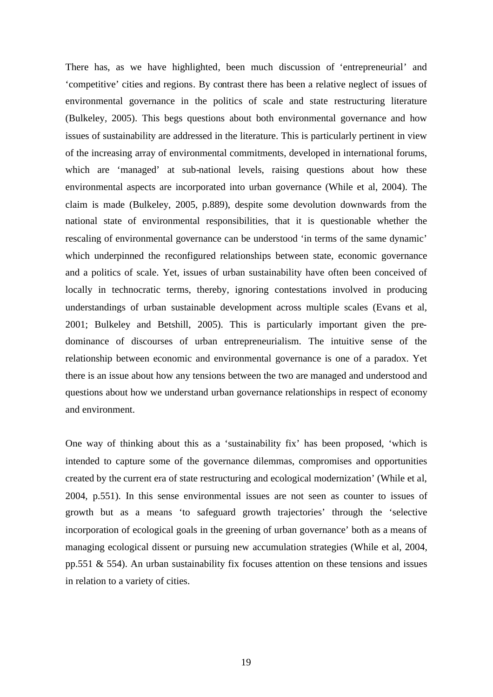There has, as we have highlighted, been much discussion of 'entrepreneurial' and 'competitive' cities and regions. By contrast there has been a relative neglect of issues of environmental governance in the politics of scale and state restructuring literature (Bulkeley, 2005). This begs questions about both environmental governance and how issues of sustainability are addressed in the literature. This is particularly pertinent in view of the increasing array of environmental commitments, developed in international forums, which are 'managed' at sub-national levels, raising questions about how these environmental aspects are incorporated into urban governance (While et al, 2004). The claim is made (Bulkeley, 2005, p.889), despite some devolution downwards from the national state of environmental responsibilities, that it is questionable whether the rescaling of environmental governance can be understood 'in terms of the same dynamic' which underpinned the reconfigured relationships between state, economic governance and a politics of scale. Yet, issues of urban sustainability have often been conceived of locally in technocratic terms, thereby, ignoring contestations involved in producing understandings of urban sustainable development across multiple scales (Evans et al, 2001; Bulkeley and Betshill, 2005). This is particularly important given the predominance of discourses of urban entrepreneurialism. The intuitive sense of the relationship between economic and environmental governance is one of a paradox. Yet there is an issue about how any tensions between the two are managed and understood and questions about how we understand urban governance relationships in respect of economy and environment.

One way of thinking about this as a 'sustainability fix' has been proposed, 'which is intended to capture some of the governance dilemmas, compromises and opportunities created by the current era of state restructuring and ecological modernization' (While et al, 2004, p.551). In this sense environmental issues are not seen as counter to issues of growth but as a means 'to safeguard growth trajectories' through the 'selective incorporation of ecological goals in the greening of urban governance' both as a means of managing ecological dissent or pursuing new accumulation strategies (While et al, 2004, pp.551  $\&$  554). An urban sustainability fix focuses attention on these tensions and issues in relation to a variety of cities.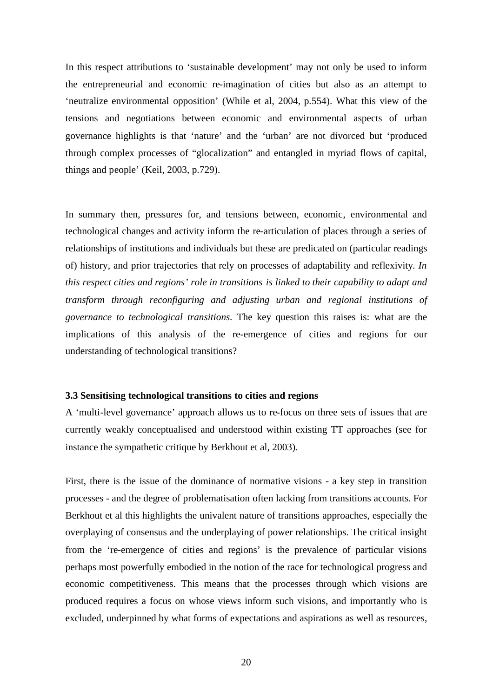In this respect attributions to 'sustainable development' may not only be used to inform the entrepreneurial and economic re-imagination of cities but also as an attempt to 'neutralize environmental opposition' (While et al, 2004, p.554). What this view of the tensions and negotiations between economic and environmental aspects of urban governance highlights is that 'nature' and the 'urban' are not divorced but 'produced through complex processes of "glocalization" and entangled in myriad flows of capital, things and people' (Keil, 2003, p.729).

In summary then, pressures for, and tensions between, economic, environmental and technological changes and activity inform the re-articulation of places through a series of relationships of institutions and individuals but these are predicated on (particular readings of) history, and prior trajectories that rely on processes of adaptability and reflexivity. *In this respect cities and regions' role in transitions is linked to their capability to adapt and transform through reconfiguring and adjusting urban and regional institutions of governance to technological transitions.* The key question this raises is: what are the implications of this analysis of the re-emergence of cities and regions for our understanding of technological transitions?

#### **3.3 Sensitising technological transitions to cities and regions**

A 'multi-level governance' approach allows us to re-focus on three sets of issues that are currently weakly conceptualised and understood within existing TT approaches (see for instance the sympathetic critique by Berkhout et al, 2003).

First, there is the issue of the dominance of normative visions - a key step in transition processes - and the degree of problematisation often lacking from transitions accounts. For Berkhout et al this highlights the univalent nature of transitions approaches, especially the overplaying of consensus and the underplaying of power relationships. The critical insight from the 're-emergence of cities and regions' is the prevalence of particular visions perhaps most powerfully embodied in the notion of the race for technological progress and economic competitiveness. This means that the processes through which visions are produced requires a focus on whose views inform such visions, and importantly who is excluded, underpinned by what forms of expectations and aspirations as well as resources,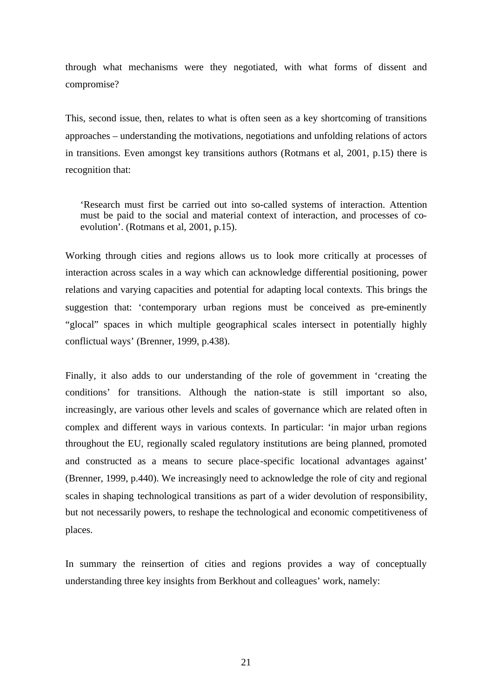through what mechanisms were they negotiated, with what forms of dissent and compromise?

This, second issue, then, relates to what is often seen as a key shortcoming of transitions approaches – understanding the motivations, negotiations and unfolding relations of actors in transitions. Even amongst key transitions authors (Rotmans et al, 2001, p.15) there is recognition that:

'Research must first be carried out into so-called systems of interaction. Attention must be paid to the social and material context of interaction, and processes of coevolution'. (Rotmans et al, 2001, p.15).

Working through cities and regions allows us to look more critically at processes of interaction across scales in a way which can acknowledge differential positioning, power relations and varying capacities and potential for adapting local contexts. This brings the suggestion that: 'contemporary urban regions must be conceived as pre-eminently "glocal" spaces in which multiple geographical scales intersect in potentially highly conflictual ways' (Brenner, 1999, p.438).

Finally, it also adds to our understanding of the role of government in 'creating the conditions' for transitions. Although the nation-state is still important so also, increasingly, are various other levels and scales of governance which are related often in complex and different ways in various contexts. In particular: 'in major urban regions throughout the EU, regionally scaled regulatory institutions are being planned, promoted and constructed as a means to secure place-specific locational advantages against' (Brenner, 1999, p.440). We increasingly need to acknowledge the role of city and regional scales in shaping technological transitions as part of a wider devolution of responsibility, but not necessarily powers, to reshape the technological and economic competitiveness of places.

In summary the reinsertion of cities and regions provides a way of conceptually understanding three key insights from Berkhout and colleagues' work, namely: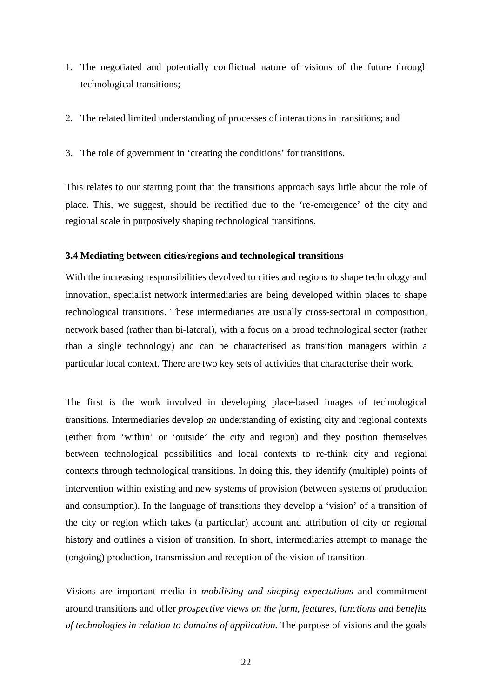- 1. The negotiated and potentially conflictual nature of visions of the future through technological transitions;
- 2. The related limited understanding of processes of interactions in transitions; and
- 3. The role of government in 'creating the conditions' for transitions.

This relates to our starting point that the transitions approach says little about the role of place. This, we suggest, should be rectified due to the 're-emergence' of the city and regional scale in purposively shaping technological transitions.

#### **3.4 Mediating between cities/regions and technological transitions**

With the increasing responsibilities devolved to cities and regions to shape technology and innovation, specialist network intermediaries are being developed within places to shape technological transitions. These intermediaries are usually cross-sectoral in composition, network based (rather than bi-lateral), with a focus on a broad technological sector (rather than a single technology) and can be characterised as transition managers within a particular local context. There are two key sets of activities that characterise their work.

The first is the work involved in developing place-based images of technological transitions. Intermediaries develop *an* understanding of existing city and regional contexts (either from 'within' or 'outside' the city and region) and they position themselves between technological possibilities and local contexts to re-think city and regional contexts through technological transitions. In doing this, they identify (multiple) points of intervention within existing and new systems of provision (between systems of production and consumption). In the language of transitions they develop a 'vision' of a transition of the city or region which takes (a particular) account and attribution of city or regional history and outlines a vision of transition. In short, intermediaries attempt to manage the (ongoing) production, transmission and reception of the vision of transition.

Visions are important media in *mobilising and shaping expectations* and commitment around transitions and offer *prospective views on the form, features, functions and benefits of technologies in relation to domains of application*. The purpose of visions and the goals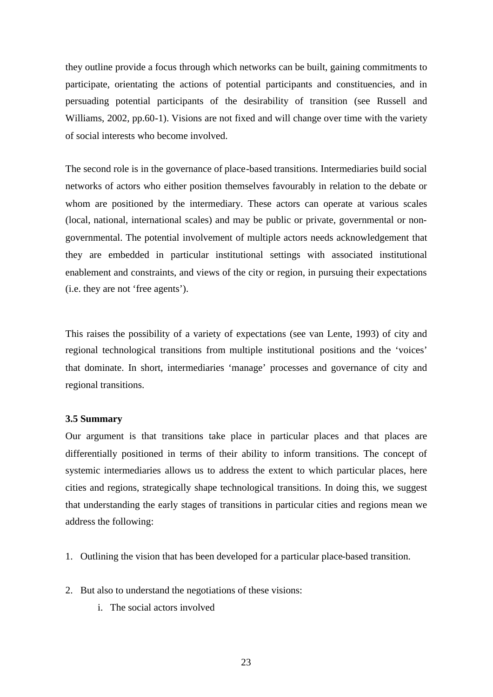they outline provide a focus through which networks can be built, gaining commitments to participate, orientating the actions of potential participants and constituencies, and in persuading potential participants of the desirability of transition (see Russell and Williams, 2002, pp.60-1). Visions are not fixed and will change over time with the variety of social interests who become involved.

The second role is in the governance of place-based transitions. Intermediaries build social networks of actors who either position themselves favourably in relation to the debate or whom are positioned by the intermediary. These actors can operate at various scales (local, national, international scales) and may be public or private, governmental or nongovernmental. The potential involvement of multiple actors needs acknowledgement that they are embedded in particular institutional settings with associated institutional enablement and constraints, and views of the city or region, in pursuing their expectations (i.e. they are not 'free agents').

This raises the possibility of a variety of expectations (see van Lente, 1993) of city and regional technological transitions from multiple institutional positions and the 'voices' that dominate. In short, intermediaries 'manage' processes and governance of city and regional transitions.

#### **3.5 Summary**

Our argument is that transitions take place in particular places and that places are differentially positioned in terms of their ability to inform transitions. The concept of systemic intermediaries allows us to address the extent to which particular places, here cities and regions, strategically shape technological transitions. In doing this, we suggest that understanding the early stages of transitions in particular cities and regions mean we address the following:

- 1. Outlining the vision that has been developed for a particular place-based transition.
- 2. But also to understand the negotiations of these visions:
	- i. The social actors involved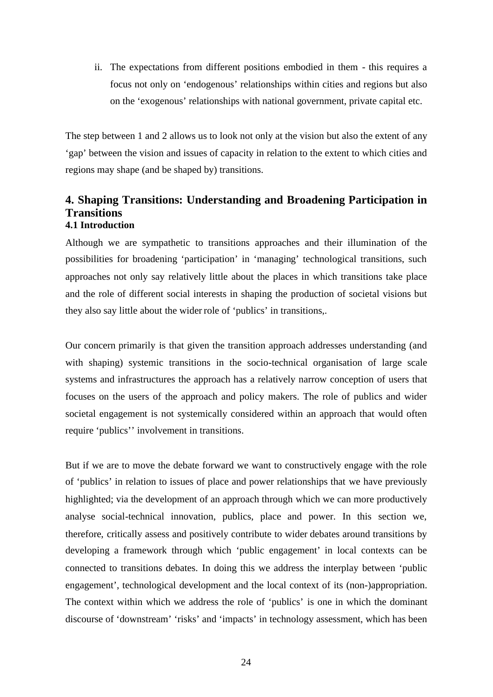ii. The expectations from different positions embodied in them - this requires a focus not only on 'endogenous' relationships within cities and regions but also on the 'exogenous' relationships with national government, private capital etc.

The step between 1 and 2 allows us to look not only at the vision but also the extent of any 'gap' between the vision and issues of capacity in relation to the extent to which cities and regions may shape (and be shaped by) transitions.

#### **4. Shaping Transitions: Understanding and Broadening Participation in Transitions 4.1 Introduction**

Although we are sympathetic to transitions approaches and their illumination of the possibilities for broadening 'participation' in 'managing' technological transitions, such approaches not only say relatively little about the places in which transitions take place and the role of different social interests in shaping the production of societal visions but they also say little about the wider role of 'publics' in transitions,.

Our concern primarily is that given the transition approach addresses understanding (and with shaping) systemic transitions in the socio-technical organisation of large scale systems and infrastructures the approach has a relatively narrow conception of users that focuses on the users of the approach and policy makers. The role of publics and wider societal engagement is not systemically considered within an approach that would often require 'publics'' involvement in transitions.

But if we are to move the debate forward we want to constructively engage with the role of 'publics' in relation to issues of place and power relationships that we have previously highlighted; via the development of an approach through which we can more productively analyse social-technical innovation, publics, place and power. In this section we, therefore, critically assess and positively contribute to wider debates around transitions by developing a framework through which 'public engagement' in local contexts can be connected to transitions debates. In doing this we address the interplay between 'public engagement', technological development and the local context of its (non-)appropriation. The context within which we address the role of 'publics' is one in which the dominant discourse of 'downstream' 'risks' and 'impacts' in technology assessment, which has been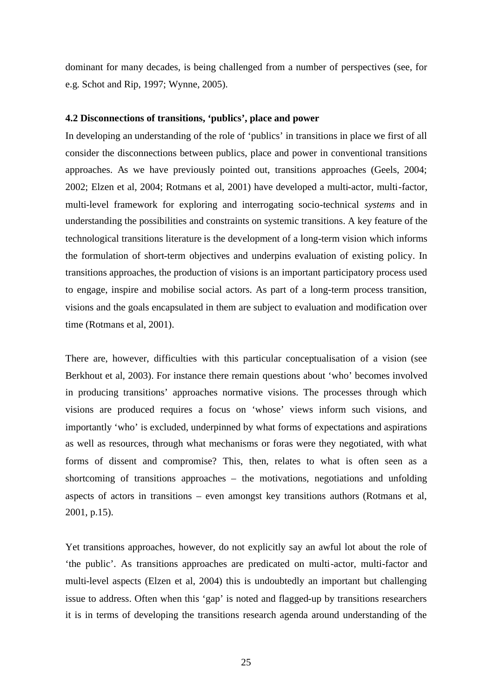dominant for many decades, is being challenged from a number of perspectives (see, for e.g. Schot and Rip, 1997; Wynne, 2005).

#### **4.2 Disconnections of transitions, 'publics', place and power**

In developing an understanding of the role of 'publics' in transitions in place we first of all consider the disconnections between publics, place and power in conventional transitions approaches. As we have previously pointed out, transitions approaches (Geels, 2004; 2002; Elzen et al, 2004; Rotmans et al, 2001) have developed a multi-actor, multi-factor, multi-level framework for exploring and interrogating socio-technical *systems* and in understanding the possibilities and constraints on systemic transitions. A key feature of the technological transitions literature is the development of a long-term vision which informs the formulation of short-term objectives and underpins evaluation of existing policy. In transitions approaches, the production of visions is an important participatory process used to engage, inspire and mobilise social actors. As part of a long-term process transition, visions and the goals encapsulated in them are subject to evaluation and modification over time (Rotmans et al, 2001).

There are, however, difficulties with this particular conceptualisation of a vision (see Berkhout et al, 2003). For instance there remain questions about 'who' becomes involved in producing transitions' approaches normative visions. The processes through which visions are produced requires a focus on 'whose' views inform such visions, and importantly 'who' is excluded, underpinned by what forms of expectations and aspirations as well as resources, through what mechanisms or foras were they negotiated, with what forms of dissent and compromise? This, then, relates to what is often seen as a shortcoming of transitions approaches – the motivations, negotiations and unfolding aspects of actors in transitions – even amongst key transitions authors (Rotmans et al, 2001, p.15).

Yet transitions approaches, however, do not explicitly say an awful lot about the role of 'the public'. As transitions approaches are predicated on multi-actor, multi-factor and multi-level aspects (Elzen et al, 2004) this is undoubtedly an important but challenging issue to address. Often when this 'gap' is noted and flagged-up by transitions researchers it is in terms of developing the transitions research agenda around understanding of the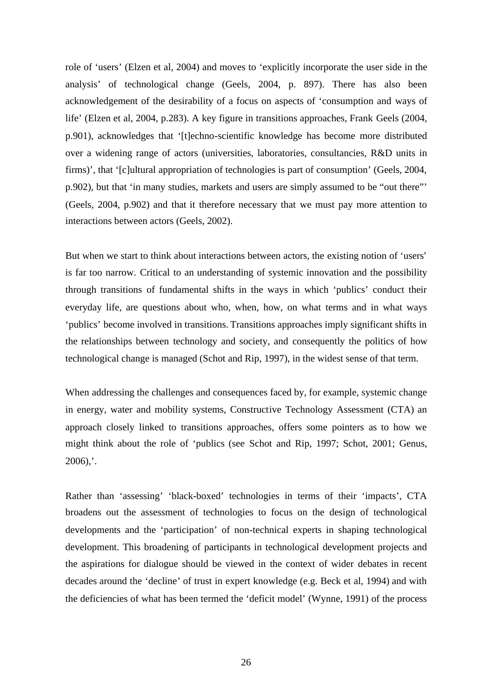role of 'users' (Elzen et al, 2004) and moves to 'explicitly incorporate the user side in the analysis' of technological change (Geels, 2004, p. 897). There has also been acknowledgement of the desirability of a focus on aspects of 'consumption and ways of life' (Elzen et al, 2004, p.283). A key figure in transitions approaches, Frank Geels (2004, p.901), acknowledges that '[t]echno-scientific knowledge has become more distributed over a widening range of actors (universities, laboratories, consultancies, R&D units in firms)', that '[c]ultural appropriation of technologies is part of consumption' (Geels, 2004, p.902), but that 'in many studies, markets and users are simply assumed to be "out there"' (Geels, 2004, p.902) and that it therefore necessary that we must pay more attention to interactions between actors (Geels, 2002).

But when we start to think about interactions between actors, the existing notion of 'users' is far too narrow. Critical to an understanding of systemic innovation and the possibility through transitions of fundamental shifts in the ways in which 'publics' conduct their everyday life, are questions about who, when, how, on what terms and in what ways 'publics' become involved in transitions. Transitions approaches imply significant shifts in the relationships between technology and society, and consequently the politics of how technological change is managed (Schot and Rip, 1997), in the widest sense of that term.

When addressing the challenges and consequences faced by, for example, systemic change in energy, water and mobility systems, Constructive Technology Assessment (CTA) an approach closely linked to transitions approaches, offers some pointers as to how we might think about the role of 'publics (see Schot and Rip, 1997; Schot, 2001; Genus,  $2006$ ),'.

Rather than 'assessing' 'black-boxed' technologies in terms of their 'impacts', CTA broadens out the assessment of technologies to focus on the design of technological developments and the 'participation' of non-technical experts in shaping technological development. This broadening of participants in technological development projects and the aspirations for dialogue should be viewed in the context of wider debates in recent decades around the 'decline' of trust in expert knowledge (e.g. Beck et al, 1994) and with the deficiencies of what has been termed the 'deficit model' (Wynne, 1991) of the process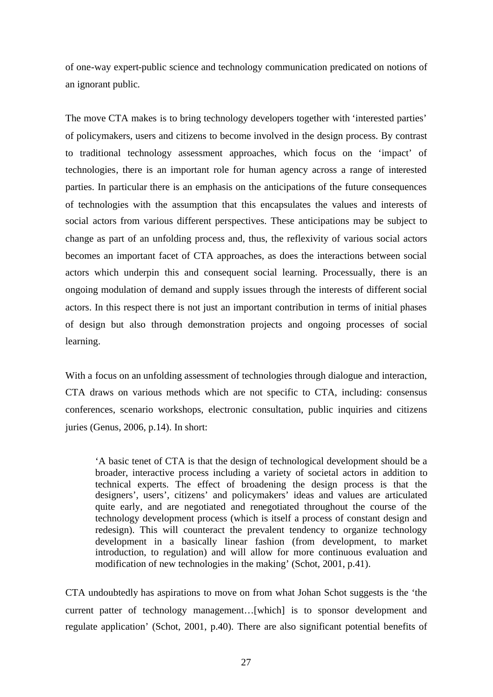of one-way expert-public science and technology communication predicated on notions of an ignorant public.

The move CTA makes is to bring technology developers together with 'interested parties' of policymakers, users and citizens to become involved in the design process. By contrast to traditional technology assessment approaches, which focus on the 'impact' of technologies, there is an important role for human agency across a range of interested parties. In particular there is an emphasis on the anticipations of the future consequences of technologies with the assumption that this encapsulates the values and interests of social actors from various different perspectives. These anticipations may be subject to change as part of an unfolding process and, thus, the reflexivity of various social actors becomes an important facet of CTA approaches, as does the interactions between social actors which underpin this and consequent social learning. Processually, there is an ongoing modulation of demand and supply issues through the interests of different social actors. In this respect there is not just an important contribution in terms of initial phases of design but also through demonstration projects and ongoing processes of social learning.

With a focus on an unfolding assessment of technologies through dialogue and interaction, CTA draws on various methods which are not specific to CTA, including: consensus conferences, scenario workshops, electronic consultation, public inquiries and citizens juries (Genus, 2006, p.14). In short:

'A basic tenet of CTA is that the design of technological development should be a broader, interactive process including a variety of societal actors in addition to technical experts. The effect of broadening the design process is that the designers', users', citizens' and policymakers' ideas and values are articulated quite early, and are negotiated and renegotiated throughout the course of the technology development process (which is itself a process of constant design and redesign). This will counteract the prevalent tendency to organize technology development in a basically linear fashion (from development, to market introduction, to regulation) and will allow for more continuous evaluation and modification of new technologies in the making' (Schot, 2001, p.41).

CTA undoubtedly has aspirations to move on from what Johan Schot suggests is the 'the current patter of technology management…[which] is to sponsor development and regulate application' (Schot, 2001, p.40). There are also significant potential benefits of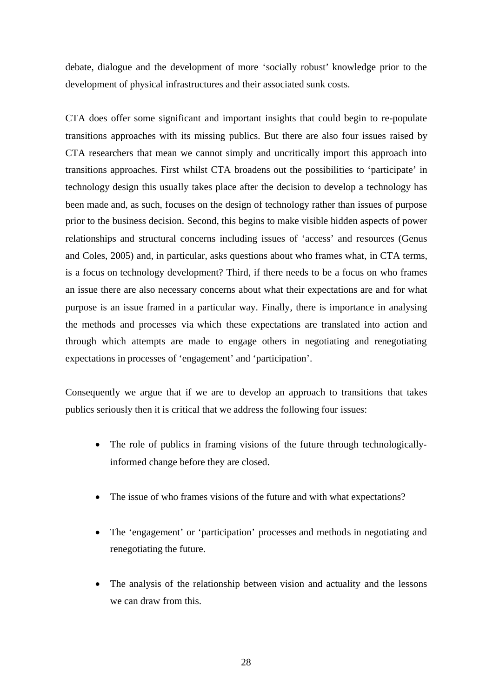debate, dialogue and the development of more 'socially robust' knowledge prior to the development of physical infrastructures and their associated sunk costs.

CTA does offer some significant and important insights that could begin to re-populate transitions approaches with its missing publics. But there are also four issues raised by CTA researchers that mean we cannot simply and uncritically import this approach into transitions approaches. First whilst CTA broadens out the possibilities to 'participate' in technology design this usually takes place after the decision to develop a technology has been made and, as such, focuses on the design of technology rather than issues of purpose prior to the business decision. Second, this begins to make visible hidden aspects of power relationships and structural concerns including issues of 'access' and resources (Genus and Coles, 2005) and, in particular, asks questions about who frames what, in CTA terms, is a focus on technology development? Third, if there needs to be a focus on who frames an issue there are also necessary concerns about what their expectations are and for what purpose is an issue framed in a particular way. Finally, there is importance in analysing the methods and processes via which these expectations are translated into action and through which attempts are made to engage others in negotiating and renegotiating expectations in processes of 'engagement' and 'participation'.

Consequently we argue that if we are to develop an approach to transitions that takes publics seriously then it is critical that we address the following four issues:

- The role of publics in framing visions of the future through technologicallyinformed change before they are closed.
- The issue of who frames visions of the future and with what expectations?
- The 'engagement' or 'participation' processes and methods in negotiating and renegotiating the future.
- The analysis of the relationship between vision and actuality and the lessons we can draw from this.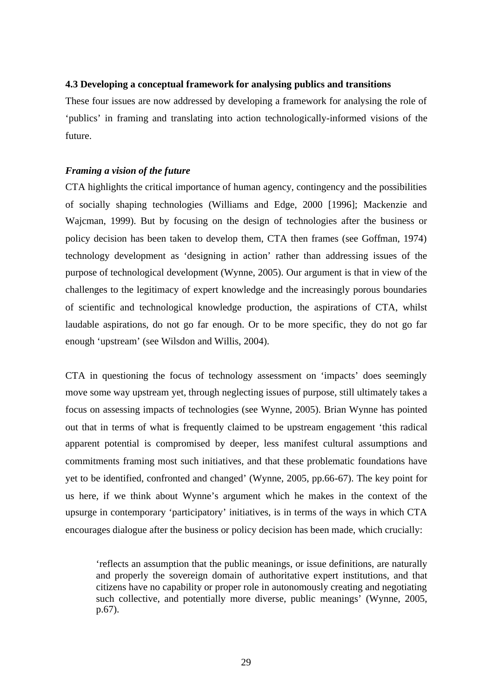#### **4.3 Developing a conceptual framework for analysing publics and transitions**

These four issues are now addressed by developing a framework for analysing the role of 'publics' in framing and translating into action technologically-informed visions of the future.

#### *Framing a vision of the future*

CTA highlights the critical importance of human agency, contingency and the possibilities of socially shaping technologies (Williams and Edge, 2000 [1996]; Mackenzie and Wajcman, 1999). But by focusing on the design of technologies after the business or policy decision has been taken to develop them, CTA then frames (see Goffman, 1974) technology development as 'designing in action' rather than addressing issues of the purpose of technological development (Wynne, 2005). Our argument is that in view of the challenges to the legitimacy of expert knowledge and the increasingly porous boundaries of scientific and technological knowledge production, the aspirations of CTA, whilst laudable aspirations, do not go far enough. Or to be more specific, they do not go far enough 'upstream' (see Wilsdon and Willis, 2004).

CTA in questioning the focus of technology assessment on 'impacts' does seemingly move some way upstream yet, through neglecting issues of purpose, still ultimately takes a focus on assessing impacts of technologies (see Wynne, 2005). Brian Wynne has pointed out that in terms of what is frequently claimed to be upstream engagement 'this radical apparent potential is compromised by deeper, less manifest cultural assumptions and commitments framing most such initiatives, and that these problematic foundations have yet to be identified, confronted and changed' (Wynne, 2005, pp.66-67). The key point for us here, if we think about Wynne's argument which he makes in the context of the upsurge in contemporary 'participatory' initiatives, is in terms of the ways in which CTA encourages dialogue after the business or policy decision has been made, which crucially:

'reflects an assumption that the public meanings, or issue definitions, are naturally and properly the sovereign domain of authoritative expert institutions, and that citizens have no capability or proper role in autonomously creating and negotiating such collective, and potentially more diverse, public meanings' (Wynne, 2005, p.67).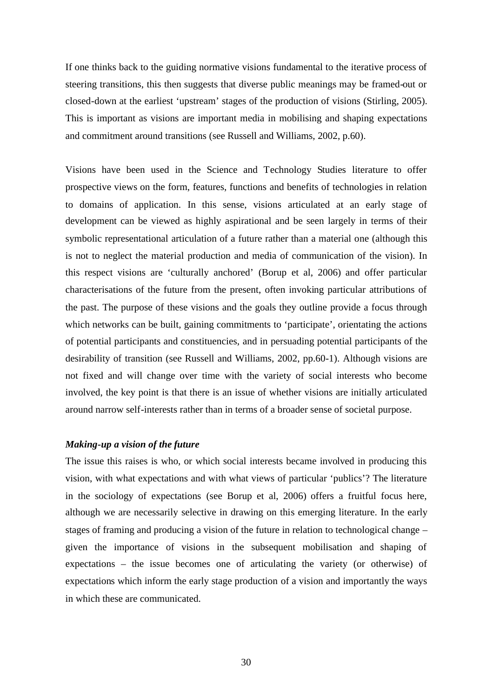If one thinks back to the guiding normative visions fundamental to the iterative process of steering transitions, this then suggests that diverse public meanings may be framed-out or closed-down at the earliest 'upstream' stages of the production of visions (Stirling, 2005). This is important as visions are important media in mobilising and shaping expectations and commitment around transitions (see Russell and Williams, 2002, p.60).

Visions have been used in the Science and Technology Studies literature to offer prospective views on the form, features, functions and benefits of technologies in relation to domains of application. In this sense, visions articulated at an early stage of development can be viewed as highly aspirational and be seen largely in terms of their symbolic representational articulation of a future rather than a material one (although this is not to neglect the material production and media of communication of the vision). In this respect visions are 'culturally anchored' (Borup et al, 2006) and offer particular characterisations of the future from the present, often invoking particular attributions of the past. The purpose of these visions and the goals they outline provide a focus through which networks can be built, gaining commitments to 'participate', orientating the actions of potential participants and constituencies, and in persuading potential participants of the desirability of transition (see Russell and Williams, 2002, pp.60-1). Although visions are not fixed and will change over time with the variety of social interests who become involved, the key point is that there is an issue of whether visions are initially articulated around narrow self-interests rather than in terms of a broader sense of societal purpose.

#### *Making-up a vision of the future*

The issue this raises is who, or which social interests became involved in producing this vision, with what expectations and with what views of particular 'publics'? The literature in the sociology of expectations (see Borup et al, 2006) offers a fruitful focus here, although we are necessarily selective in drawing on this emerging literature. In the early stages of framing and producing a vision of the future in relation to technological change – given the importance of visions in the subsequent mobilisation and shaping of expectations – the issue becomes one of articulating the variety (or otherwise) of expectations which inform the early stage production of a vision and importantly the ways in which these are communicated.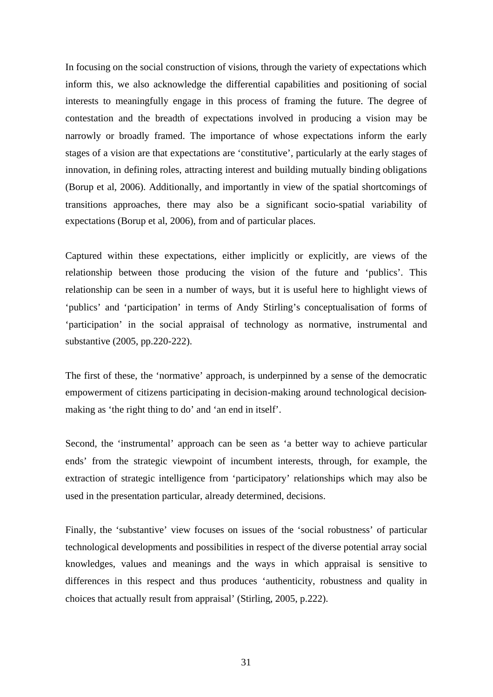In focusing on the social construction of visions, through the variety of expectations which inform this, we also acknowledge the differential capabilities and positioning of social interests to meaningfully engage in this process of framing the future. The degree of contestation and the breadth of expectations involved in producing a vision may be narrowly or broadly framed. The importance of whose expectations inform the early stages of a vision are that expectations are 'constitutive', particularly at the early stages of innovation, in defining roles, attracting interest and building mutually binding obligations (Borup et al, 2006). Additionally, and importantly in view of the spatial shortcomings of transitions approaches, there may also be a significant socio-spatial variability of expectations (Borup et al, 2006), from and of particular places.

Captured within these expectations, either implicitly or explicitly, are views of the relationship between those producing the vision of the future and 'publics'. This relationship can be seen in a number of ways, but it is useful here to highlight views of 'publics' and 'participation' in terms of Andy Stirling's conceptualisation of forms of 'participation' in the social appraisal of technology as normative, instrumental and substantive (2005, pp.220-222).

The first of these, the 'normative' approach, is underpinned by a sense of the democratic empowerment of citizens participating in decision-making around technological decisionmaking as 'the right thing to do' and 'an end in itself'.

Second, the 'instrumental' approach can be seen as 'a better way to achieve particular ends' from the strategic viewpoint of incumbent interests, through, for example, the extraction of strategic intelligence from 'participatory' relationships which may also be used in the presentation particular, already determined, decisions.

Finally, the 'substantive' view focuses on issues of the 'social robustness' of particular technological developments and possibilities in respect of the diverse potential array social knowledges, values and meanings and the ways in which appraisal is sensitive to differences in this respect and thus produces 'authenticity, robustness and quality in choices that actually result from appraisal' (Stirling, 2005, p.222).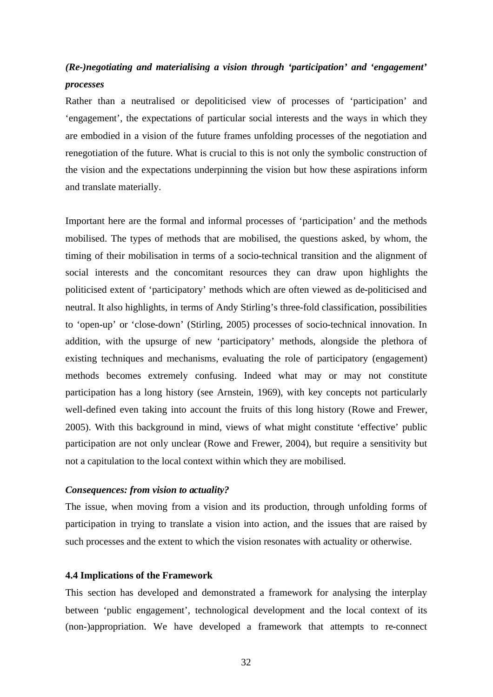## *(Re-)negotiating and materialising a vision through 'participation' and 'engagement' processes*

Rather than a neutralised or depoliticised view of processes of 'participation' and 'engagement', the expectations of particular social interests and the ways in which they are embodied in a vision of the future frames unfolding processes of the negotiation and renegotiation of the future. What is crucial to this is not only the symbolic construction of the vision and the expectations underpinning the vision but how these aspirations inform and translate materially.

Important here are the formal and informal processes of 'participation' and the methods mobilised. The types of methods that are mobilised, the questions asked, by whom, the timing of their mobilisation in terms of a socio-technical transition and the alignment of social interests and the concomitant resources they can draw upon highlights the politicised extent of 'participatory' methods which are often viewed as de-politicised and neutral. It also highlights, in terms of Andy Stirling's three-fold classification, possibilities to 'open-up' or 'close-down' (Stirling, 2005) processes of socio-technical innovation. In addition, with the upsurge of new 'participatory' methods, alongside the plethora of existing techniques and mechanisms, evaluating the role of participatory (engagement) methods becomes extremely confusing. Indeed what may or may not constitute participation has a long history (see Arnstein, 1969), with key concepts not particularly well-defined even taking into account the fruits of this long history (Rowe and Frewer, 2005). With this background in mind, views of what might constitute 'effective' public participation are not only unclear (Rowe and Frewer, 2004), but require a sensitivity but not a capitulation to the local context within which they are mobilised.

#### *Consequences: from vision to actuality?*

The issue, when moving from a vision and its production, through unfolding forms of participation in trying to translate a vision into action, and the issues that are raised by such processes and the extent to which the vision resonates with actuality or otherwise.

#### **4.4 Implications of the Framework**

This section has developed and demonstrated a framework for analysing the interplay between 'public engagement', technological development and the local context of its (non-)appropriation. We have developed a framework that attempts to re-connect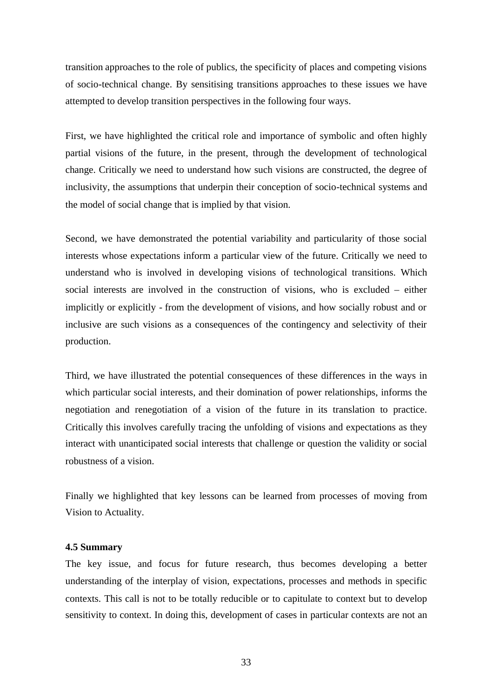transition approaches to the role of publics, the specificity of places and competing visions of socio-technical change. By sensitising transitions approaches to these issues we have attempted to develop transition perspectives in the following four ways.

First, we have highlighted the critical role and importance of symbolic and often highly partial visions of the future, in the present, through the development of technological change. Critically we need to understand how such visions are constructed, the degree of inclusivity, the assumptions that underpin their conception of socio-technical systems and the model of social change that is implied by that vision.

Second, we have demonstrated the potential variability and particularity of those social interests whose expectations inform a particular view of the future. Critically we need to understand who is involved in developing visions of technological transitions. Which social interests are involved in the construction of visions, who is excluded – either implicitly or explicitly - from the development of visions, and how socially robust and or inclusive are such visions as a consequences of the contingency and selectivity of their production.

Third, we have illustrated the potential consequences of these differences in the ways in which particular social interests, and their domination of power relationships, informs the negotiation and renegotiation of a vision of the future in its translation to practice. Critically this involves carefully tracing the unfolding of visions and expectations as they interact with unanticipated social interests that challenge or question the validity or social robustness of a vision.

Finally we highlighted that key lessons can be learned from processes of moving from Vision to Actuality.

#### **4.5 Summary**

The key issue, and focus for future research, thus becomes developing a better understanding of the interplay of vision, expectations, processes and methods in specific contexts. This call is not to be totally reducible or to capitulate to context but to develop sensitivity to context. In doing this, development of cases in particular contexts are not an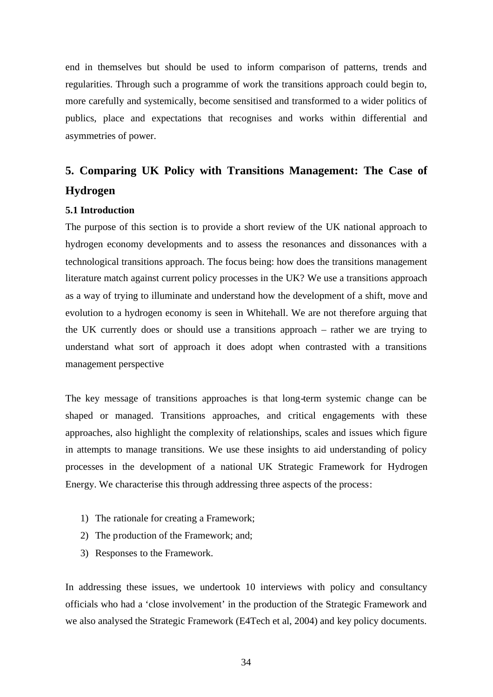end in themselves but should be used to inform comparison of patterns, trends and regularities. Through such a programme of work the transitions approach could begin to, more carefully and systemically, become sensitised and transformed to a wider politics of publics, place and expectations that recognises and works within differential and asymmetries of power.

## **5. Comparing UK Policy with Transitions Management: The Case of Hydrogen**

#### **5.1 Introduction**

The purpose of this section is to provide a short review of the UK national approach to hydrogen economy developments and to assess the resonances and dissonances with a technological transitions approach. The focus being: how does the transitions management literature match against current policy processes in the UK? We use a transitions approach as a way of trying to illuminate and understand how the development of a shift, move and evolution to a hydrogen economy is seen in Whitehall. We are not therefore arguing that the UK currently does or should use a transitions approach – rather we are trying to understand what sort of approach it does adopt when contrasted with a transitions management perspective

The key message of transitions approaches is that long-term systemic change can be shaped or managed. Transitions approaches, and critical engagements with these approaches, also highlight the complexity of relationships, scales and issues which figure in attempts to manage transitions. We use these insights to aid understanding of policy processes in the development of a national UK Strategic Framework for Hydrogen Energy. We characterise this through addressing three aspects of the process:

- 1) The rationale for creating a Framework;
- 2) The production of the Framework; and;
- 3) Responses to the Framework.

In addressing these issues, we undertook 10 interviews with policy and consultancy officials who had a 'close involvement' in the production of the Strategic Framework and we also analysed the Strategic Framework (E4Tech et al, 2004) and key policy documents.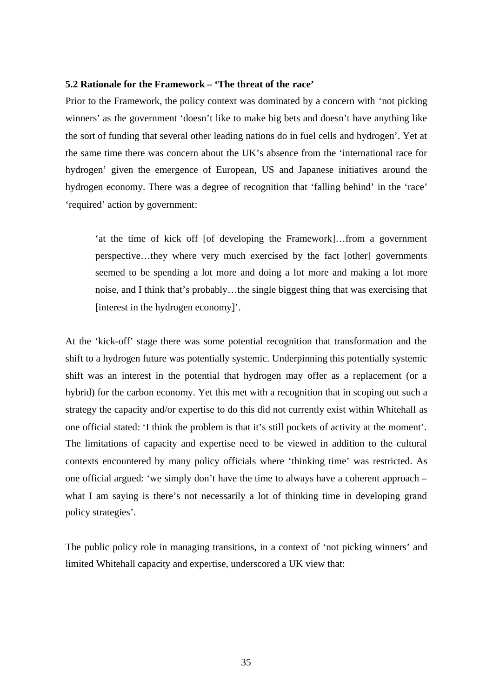#### **5.2 Rationale for the Framework – 'The threat of the race'**

Prior to the Framework, the policy context was dominated by a concern with 'not picking winners' as the government 'doesn't like to make big bets and doesn't have anything like the sort of funding that several other leading nations do in fuel cells and hydrogen'. Yet at the same time there was concern about the UK's absence from the 'international race for hydrogen' given the emergence of European, US and Japanese initiatives around the hydrogen economy. There was a degree of recognition that 'falling behind' in the 'race' 'required' action by government:

'at the time of kick off [of developing the Framework]…from a government perspective…they where very much exercised by the fact [other] governments seemed to be spending a lot more and doing a lot more and making a lot more noise, and I think that's probably…the single biggest thing that was exercising that [interest in the hydrogen economy]'.

At the 'kick-off' stage there was some potential recognition that transformation and the shift to a hydrogen future was potentially systemic. Underpinning this potentially systemic shift was an interest in the potential that hydrogen may offer as a replacement (or a hybrid) for the carbon economy. Yet this met with a recognition that in scoping out such a strategy the capacity and/or expertise to do this did not currently exist within Whitehall as one official stated: 'I think the problem is that it's still pockets of activity at the moment'. The limitations of capacity and expertise need to be viewed in addition to the cultural contexts encountered by many policy officials where 'thinking time' was restricted. As one official argued: 'we simply don't have the time to always have a coherent approach – what I am saying is there's not necessarily a lot of thinking time in developing grand policy strategies'.

The public policy role in managing transitions, in a context of 'not picking winners' and limited Whitehall capacity and expertise, underscored a UK view that: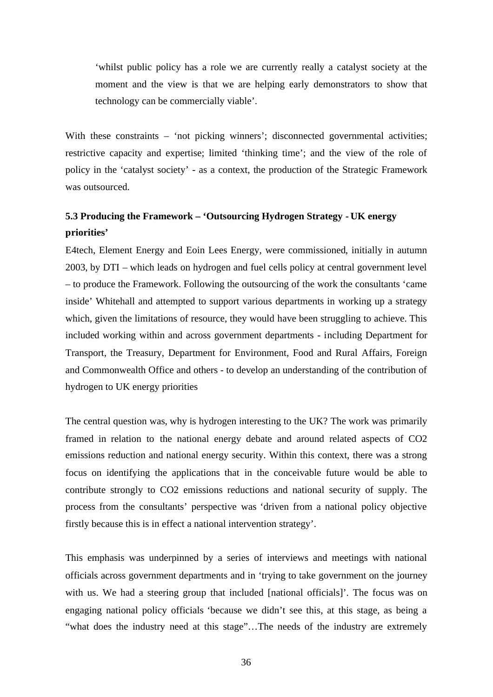'whilst public policy has a role we are currently really a catalyst society at the moment and the view is that we are helping early demonstrators to show that technology can be commercially viable'.

With these constraints – 'not picking winners'; disconnected governmental activities; restrictive capacity and expertise; limited 'thinking time'; and the view of the role of policy in the 'catalyst society' - as a context, the production of the Strategic Framework was outsourced.

## **5.3 Producing the Framework – 'Outsourcing Hydrogen Strategy - UK energy priorities'**

E4tech, Element Energy and Eoin Lees Energy, were commissioned, initially in autumn 2003, by DTI – which leads on hydrogen and fuel cells policy at central government level – to produce the Framework. Following the outsourcing of the work the consultants 'came inside' Whitehall and attempted to support various departments in working up a strategy which, given the limitations of resource, they would have been struggling to achieve. This included working within and across government departments - including Department for Transport, the Treasury, Department for Environment, Food and Rural Affairs, Foreign and Commonwealth Office and others - to develop an understanding of the contribution of hydrogen to UK energy priorities

The central question was, why is hydrogen interesting to the UK? The work was primarily framed in relation to the national energy debate and around related aspects of CO2 emissions reduction and national energy security. Within this context, there was a strong focus on identifying the applications that in the conceivable future would be able to contribute strongly to CO2 emissions reductions and national security of supply. The process from the consultants' perspective was 'driven from a national policy objective firstly because this is in effect a national intervention strategy'.

This emphasis was underpinned by a series of interviews and meetings with national officials across government departments and in 'trying to take government on the journey with us. We had a steering group that included [national officials]'. The focus was on engaging national policy officials 'because we didn't see this, at this stage, as being a "what does the industry need at this stage"…The needs of the industry are extremely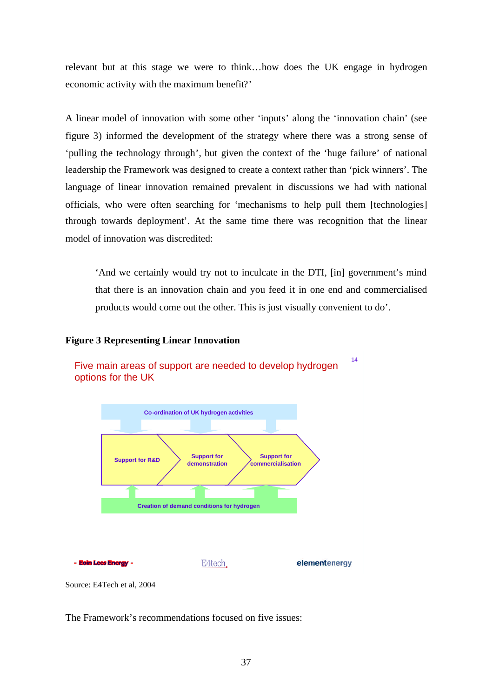relevant but at this stage we were to think…how does the UK engage in hydrogen economic activity with the maximum benefit?'

A linear model of innovation with some other 'inputs' along the 'innovation chain' (see figure 3) informed the development of the strategy where there was a strong sense of 'pulling the technology through', but given the context of the 'huge failure' of national leadership the Framework was designed to create a context rather than 'pick winners'. The language of linear innovation remained prevalent in discussions we had with national officials, who were often searching for 'mechanisms to help pull them [technologies] through towards deployment'. At the same time there was recognition that the linear model of innovation was discredited:

'And we certainly would try not to inculcate in the DTI, [in] government's mind that there is an innovation chain and you feed it in one end and commercialised products would come out the other. This is just visually convenient to do'.

14

#### **Figure 3 Representing Linear Innovation**



Five main areas of support are needed to develop hydrogen options for the UK

Source: E4Tech et al, 2004

The Framework's recommendations focused on five issues: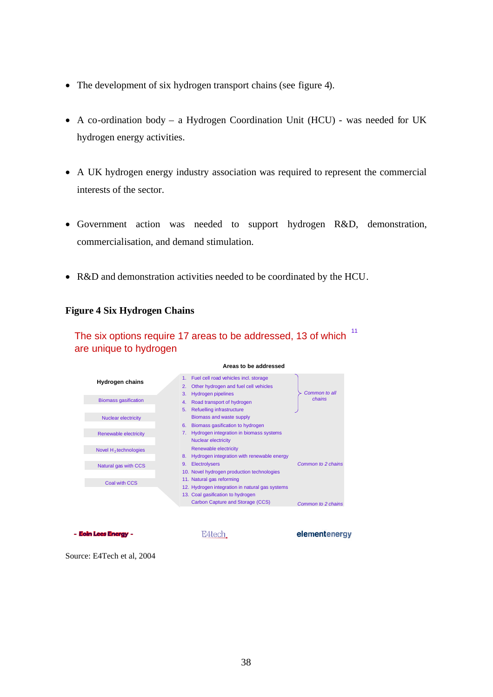- The development of six hydrogen transport chains (see figure 4).
- A co-ordination body a Hydrogen Coordination Unit (HCU) was needed for UK hydrogen energy activities.
- A UK hydrogen energy industry association was required to represent the commercial interests of the sector.
- Government action was needed to support hydrogen R&D, demonstration, commercialisation, and demand stimulation.
- R&D and demonstration activities needed to be coordinated by the HCU.

#### **Figure 4 Six Hydrogen Chains**

The six options require 17 areas to be addressed, 13 of which <sup>11</sup> are unique to hydrogen



Source: E4Tech et al, 2004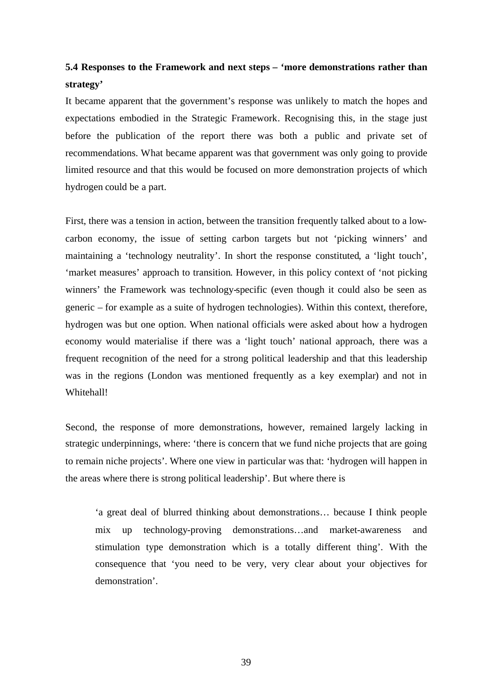## **5.4 Responses to the Framework and next steps – 'more demonstrations rather than strategy'**

It became apparent that the government's response was unlikely to match the hopes and expectations embodied in the Strategic Framework. Recognising this, in the stage just before the publication of the report there was both a public and private set of recommendations. What became apparent was that government was only going to provide limited resource and that this would be focused on more demonstration projects of which hydrogen could be a part.

First, there was a tension in action, between the transition frequently talked about to a lowcarbon economy, the issue of setting carbon targets but not 'picking winners' and maintaining a 'technology neutrality'. In short the response constituted, a 'light touch', 'market measures' approach to transition. However, in this policy context of 'not picking winners' the Framework was technology-specific (even though it could also be seen as generic – for example as a suite of hydrogen technologies). Within this context, therefore, hydrogen was but one option. When national officials were asked about how a hydrogen economy would materialise if there was a 'light touch' national approach, there was a frequent recognition of the need for a strong political leadership and that this leadership was in the regions (London was mentioned frequently as a key exemplar) and not in Whitehall!

Second, the response of more demonstrations, however, remained largely lacking in strategic underpinnings, where: 'there is concern that we fund niche projects that are going to remain niche projects'. Where one view in particular was that: 'hydrogen will happen in the areas where there is strong political leadership'. But where there is

'a great deal of blurred thinking about demonstrations… because I think people mix up technology-proving demonstrations…and market-awareness and stimulation type demonstration which is a totally different thing'. With the consequence that 'you need to be very, very clear about your objectives for demonstration'.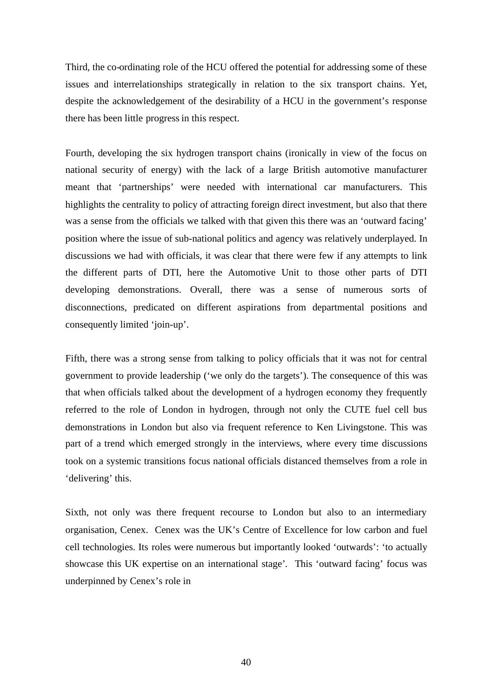Third, the co-ordinating role of the HCU offered the potential for addressing some of these issues and interrelationships strategically in relation to the six transport chains. Yet, despite the acknowledgement of the desirability of a HCU in the government's response there has been little progress in this respect.

Fourth, developing the six hydrogen transport chains (ironically in view of the focus on national security of energy) with the lack of a large British automotive manufacturer meant that 'partnerships' were needed with international car manufacturers. This highlights the centrality to policy of attracting foreign direct investment, but also that there was a sense from the officials we talked with that given this there was an 'outward facing' position where the issue of sub-national politics and agency was relatively underplayed. In discussions we had with officials, it was clear that there were few if any attempts to link the different parts of DTI, here the Automotive Unit to those other parts of DTI developing demonstrations. Overall, there was a sense of numerous sorts of disconnections, predicated on different aspirations from departmental positions and consequently limited 'join-up'.

Fifth, there was a strong sense from talking to policy officials that it was not for central government to provide leadership ('we only do the targets'). The consequence of this was that when officials talked about the development of a hydrogen economy they frequently referred to the role of London in hydrogen, through not only the CUTE fuel cell bus demonstrations in London but also via frequent reference to Ken Livingstone. This was part of a trend which emerged strongly in the interviews, where every time discussions took on a systemic transitions focus national officials distanced themselves from a role in 'delivering' this.

Sixth, not only was there frequent recourse to London but also to an intermediary organisation, Cenex. Cenex was the UK's Centre of Excellence for low carbon and fuel cell technologies. Its roles were numerous but importantly looked 'outwards': 'to actually showcase this UK expertise on an international stage'. This 'outward facing' focus was underpinned by Cenex's role in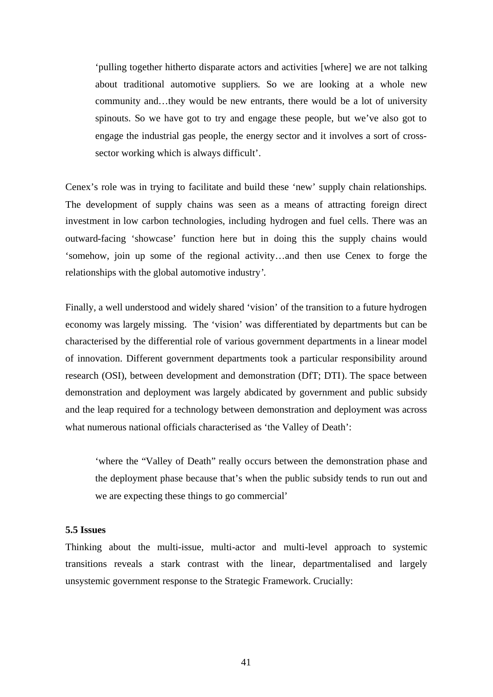'pulling together hitherto disparate actors and activities [where] we are not talking about traditional automotive suppliers. So we are looking at a whole new community and…they would be new entrants, there would be a lot of university spinouts. So we have got to try and engage these people, but we've also got to engage the industrial gas people, the energy sector and it involves a sort of crosssector working which is always difficult'.

Cenex's role was in trying to facilitate and build these 'new' supply chain relationships. The development of supply chains was seen as a means of attracting foreign direct investment in low carbon technologies, including hydrogen and fuel cells. There was an outward-facing 'showcase' function here but in doing this the supply chains would 'somehow, join up some of the regional activity…and then use Cenex to forge the relationships with the global automotive industry'.

Finally, a well understood and widely shared 'vision' of the transition to a future hydrogen economy was largely missing. The 'vision' was differentiated by departments but can be characterised by the differential role of various government departments in a linear model of innovation. Different government departments took a particular responsibility around research (OSI), between development and demonstration (DfT; DTI). The space between demonstration and deployment was largely abdicated by government and public subsidy and the leap required for a technology between demonstration and deployment was across what numerous national officials characterised as 'the Valley of Death':

'where the "Valley of Death" really occurs between the demonstration phase and the deployment phase because that's when the public subsidy tends to run out and we are expecting these things to go commercial'

#### **5.5 Issues**

Thinking about the multi-issue, multi-actor and multi-level approach to systemic transitions reveals a stark contrast with the linear, departmentalised and largely unsystemic government response to the Strategic Framework. Crucially: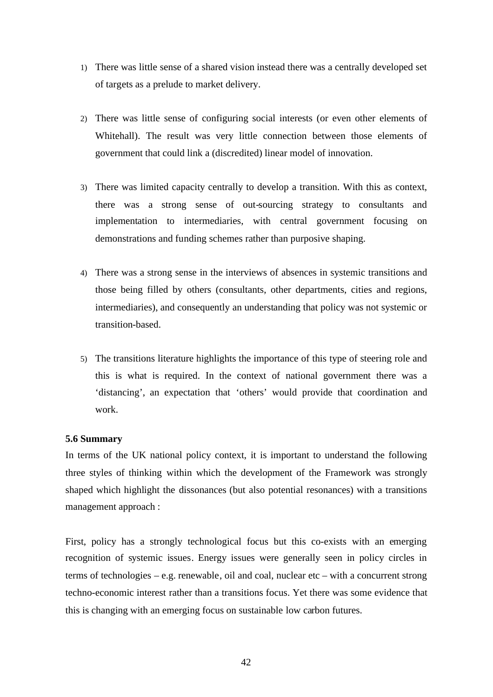- 1) There was little sense of a shared vision instead there was a centrally developed set of targets as a prelude to market delivery.
- 2) There was little sense of configuring social interests (or even other elements of Whitehall). The result was very little connection between those elements of government that could link a (discredited) linear model of innovation.
- 3) There was limited capacity centrally to develop a transition. With this as context, there was a strong sense of out-sourcing strategy to consultants and implementation to intermediaries, with central government focusing on demonstrations and funding schemes rather than purposive shaping.
- 4) There was a strong sense in the interviews of absences in systemic transitions and those being filled by others (consultants, other departments, cities and regions, intermediaries), and consequently an understanding that policy was not systemic or transition-based.
- 5) The transitions literature highlights the importance of this type of steering role and this is what is required. In the context of national government there was a 'distancing', an expectation that 'others' would provide that coordination and work.

#### **5.6 Summary**

In terms of the UK national policy context, it is important to understand the following three styles of thinking within which the development of the Framework was strongly shaped which highlight the dissonances (but also potential resonances) with a transitions management approach :

First, policy has a strongly technological focus but this co-exists with an emerging recognition of systemic issues. Energy issues were generally seen in policy circles in terms of technologies – e.g. renewable, oil and coal, nuclear etc – with a concurrent strong techno-economic interest rather than a transitions focus. Yet there was some evidence that this is changing with an emerging focus on sustainable low carbon futures.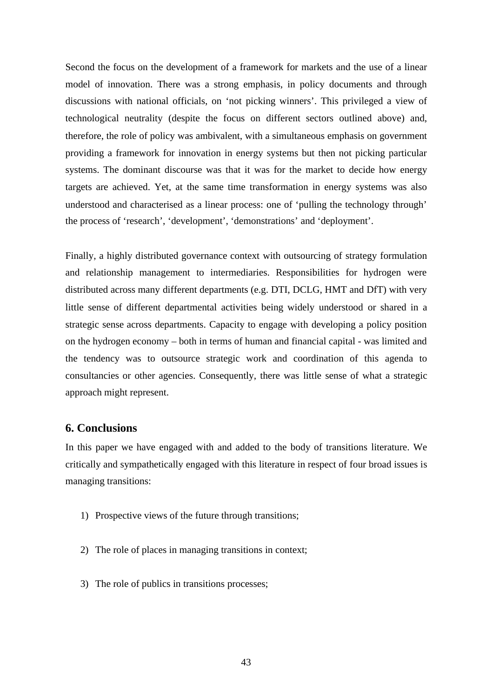Second the focus on the development of a framework for markets and the use of a linear model of innovation. There was a strong emphasis, in policy documents and through discussions with national officials, on 'not picking winners'. This privileged a view of technological neutrality (despite the focus on different sectors outlined above) and, therefore, the role of policy was ambivalent, with a simultaneous emphasis on government providing a framework for innovation in energy systems but then not picking particular systems. The dominant discourse was that it was for the market to decide how energy targets are achieved. Yet, at the same time transformation in energy systems was also understood and characterised as a linear process: one of 'pulling the technology through' the process of 'research', 'development', 'demonstrations' and 'deployment'.

Finally, a highly distributed governance context with outsourcing of strategy formulation and relationship management to intermediaries. Responsibilities for hydrogen were distributed across many different departments (e.g. DTI, DCLG, HMT and DfT) with very little sense of different departmental activities being widely understood or shared in a strategic sense across departments. Capacity to engage with developing a policy position on the hydrogen economy – both in terms of human and financial capital - was limited and the tendency was to outsource strategic work and coordination of this agenda to consultancies or other agencies. Consequently, there was little sense of what a strategic approach might represent.

#### **6. Conclusions**

In this paper we have engaged with and added to the body of transitions literature. We critically and sympathetically engaged with this literature in respect of four broad issues is managing transitions:

- 1) Prospective views of the future through transitions;
- 2) The role of places in managing transitions in context;
- 3) The role of publics in transitions processes;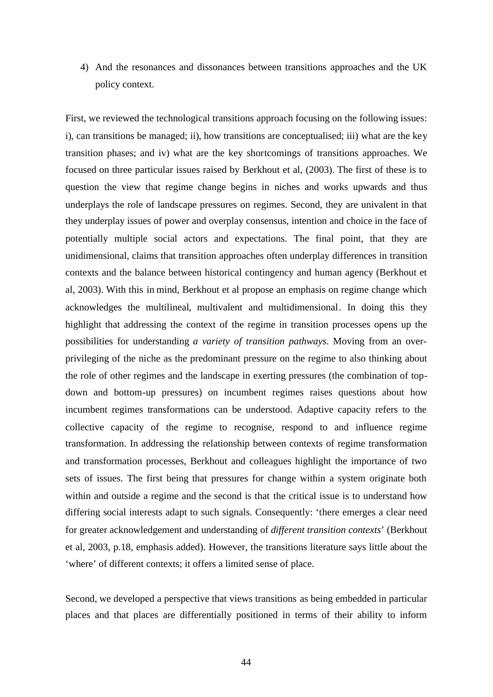4) And the resonances and dissonances between transitions approaches and the UK policy context.

First, we reviewed the technological transitions approach focusing on the following issues: i), can transitions be managed; ii), how transitions are conceptualised; iii) what are the key transition phases; and iv) what are the key shortcomings of transitions approaches. We focused on three particular issues raised by Berkhout et al, (2003). The first of these is to question the view that regime change begins in niches and works upwards and thus underplays the role of landscape pressures on regimes. Second, they are univalent in that they underplay issues of power and overplay consensus, intention and choice in the face of potentially multiple social actors and expectations. The final point, that they are unidimensional, claims that transition approaches often underplay differences in transition contexts and the balance between historical contingency and human agency (Berkhout et al, 2003). With this in mind, Berkhout et al propose an emphasis on regime change which acknowledges the multilineal, multivalent and multidimensional. In doing this they highlight that addressing the context of the regime in transition processes opens up the possibilities for understanding *a variety of transition pathways*. Moving from an overprivileging of the niche as the predominant pressure on the regime to also thinking about the role of other regimes and the landscape in exerting pressures (the combination of topdown and bottom-up pressures) on incumbent regimes raises questions about how incumbent regimes transformations can be understood. Adaptive capacity refers to the collective capacity of the regime to recognise, respond to and influence regime transformation. In addressing the relationship between contexts of regime transformation and transformation processes, Berkhout and colleagues highlight the importance of two sets of issues. The first being that pressures for change within a system originate both within and outside a regime and the second is that the critical issue is to understand how differing social interests adapt to such signals. Consequently: 'there emerges a clear need for greater acknowledgement and understanding of *different transition contexts*' (Berkhout et al, 2003, p.18, emphasis added). However, the transitions literature says little about the 'where' of different contexts; it offers a limited sense of place.

Second, we developed a perspective that views transitions as being embedded in particular places and that places are differentially positioned in terms of their ability to inform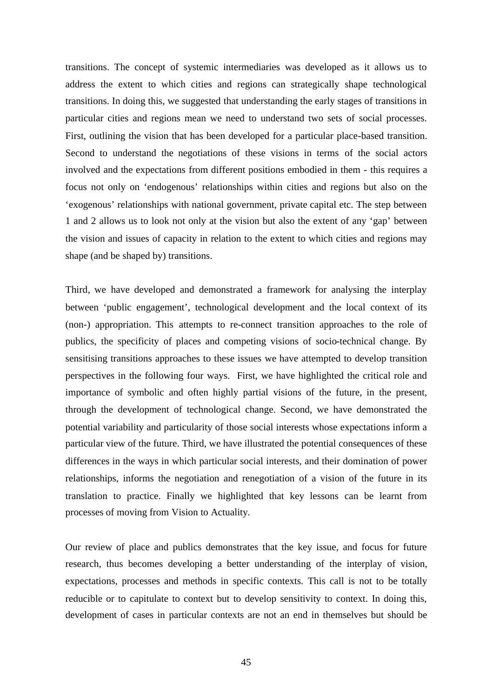transitions. The concept of systemic intermediaries was developed as it allows us to address the extent to which cities and regions can strategically shape technological transitions. In doing this, we suggested that understanding the early stages of transitions in particular cities and regions mean we need to understand two sets of social processes. First, outlining the vision that has been developed for a particular place-based transition. Second to understand the negotiations of these visions in terms of the social actors involved and the expectations from different positions embodied in them - this requires a focus not only on 'endogenous' relationships within cities and regions but also on the 'exogenous' relationships with national government, private capital etc. The step between 1 and 2 allows us to look not only at the vision but also the extent of any 'gap' between the vision and issues of capacity in relation to the extent to which cities and regions may shape (and be shaped by) transitions.

Third, we have developed and demonstrated a framework for analysing the interplay between 'public engagement', technological development and the local context of its (non-) appropriation. This attempts to re-connect transition approaches to the role of publics, the specificity of places and competing visions of socio-technical change. By sensitising transitions approaches to these issues we have attempted to develop transition perspectives in the following four ways. First, we have highlighted the critical role and importance of symbolic and often highly partial visions of the future, in the present, through the development of technological change. Second, we have demonstrated the potential variability and particularity of those social interests whose expectations inform a particular view of the future. Third, we have illustrated the potential consequences of these differences in the ways in which particular social interests, and their domination of power relationships, informs the negotiation and renegotiation of a vision of the future in its translation to practice. Finally we highlighted that key lessons can be learnt from processes of moving from Vision to Actuality.

Our review of place and publics demonstrates that the key issue, and focus for future research, thus becomes developing a better understanding of the interplay of vision, expectations, processes and methods in specific contexts. This call is not to be totally reducible or to capitulate to context but to develop sensitivity to context. In doing this, development of cases in particular contexts are not an end in themselves but should be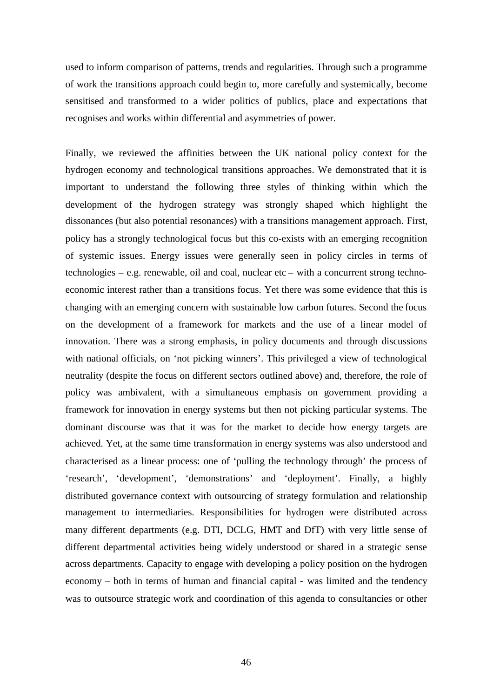used to inform comparison of patterns, trends and regularities. Through such a programme of work the transitions approach could begin to, more carefully and systemically, become sensitised and transformed to a wider politics of publics, place and expectations that recognises and works within differential and asymmetries of power.

Finally, we reviewed the affinities between the UK national policy context for the hydrogen economy and technological transitions approaches. We demonstrated that it is important to understand the following three styles of thinking within which the development of the hydrogen strategy was strongly shaped which highlight the dissonances (but also potential resonances) with a transitions management approach. First, policy has a strongly technological focus but this co-exists with an emerging recognition of systemic issues. Energy issues were generally seen in policy circles in terms of technologies – e.g. renewable, oil and coal, nuclear etc – with a concurrent strong technoeconomic interest rather than a transitions focus. Yet there was some evidence that this is changing with an emerging concern with sustainable low carbon futures. Second the focus on the development of a framework for markets and the use of a linear model of innovation. There was a strong emphasis, in policy documents and through discussions with national officials, on 'not picking winners'. This privileged a view of technological neutrality (despite the focus on different sectors outlined above) and, therefore, the role of policy was ambivalent, with a simultaneous emphasis on government providing a framework for innovation in energy systems but then not picking particular systems. The dominant discourse was that it was for the market to decide how energy targets are achieved. Yet, at the same time transformation in energy systems was also understood and characterised as a linear process: one of 'pulling the technology through' the process of 'research', 'development', 'demonstrations' and 'deployment'. Finally, a highly distributed governance context with outsourcing of strategy formulation and relationship management to intermediaries. Responsibilities for hydrogen were distributed across many different departments (e.g. DTI, DCLG, HMT and DfT) with very little sense of different departmental activities being widely understood or shared in a strategic sense across departments. Capacity to engage with developing a policy position on the hydrogen economy – both in terms of human and financial capital - was limited and the tendency was to outsource strategic work and coordination of this agenda to consultancies or other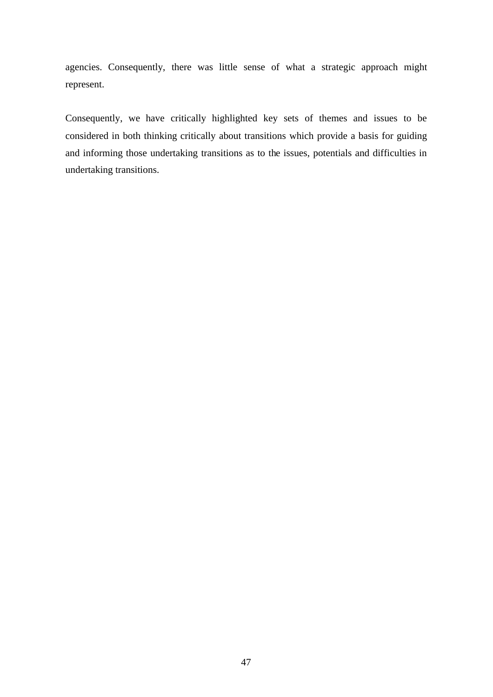agencies. Consequently, there was little sense of what a strategic approach might represent.

Consequently, we have critically highlighted key sets of themes and issues to be considered in both thinking critically about transitions which provide a basis for guiding and informing those undertaking transitions as to the issues, potentials and difficulties in undertaking transitions.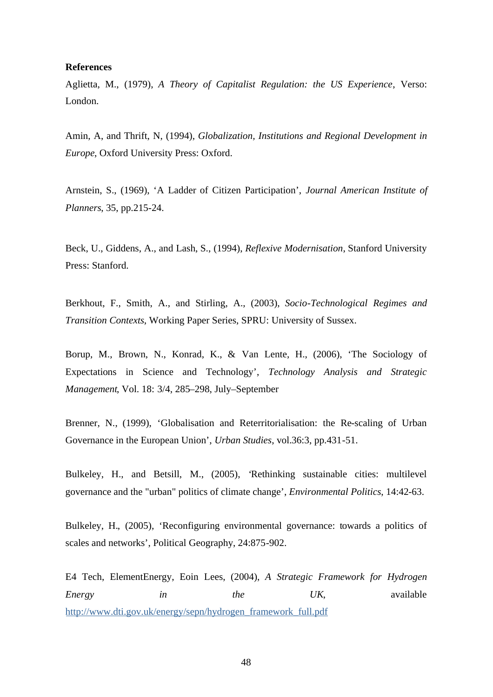#### **References**

Aglietta, M., (1979), *A Theory of Capitalist Regulation: the US Experience*, Verso: London.

Amin, A, and Thrift, N, (1994), *Globalization, Institutions and Regional Development in Europe*, Oxford University Press: Oxford.

Arnstein, S., (1969), 'A Ladder of Citizen Participation', *Journal American Institute of Planners*, 35, pp.215-24.

Beck, U., Giddens, A., and Lash, S., (1994), *Reflexive Modernisation*, Stanford University Press: Stanford.

Berkhout, F., Smith, A., and Stirling, A., (2003), *Socio-Technological Regimes and Transition Contexts*, Working Paper Series, SPRU: University of Sussex.

Borup, M., Brown, N., Konrad, K., & Van Lente, H., (2006), 'The Sociology of Expectations in Science and Technology', *Technology Analysis and Strategic Management*, Vol. 18: 3/4, 285–298, July–September

Brenner, N., (1999), 'Globalisation and Reterritorialisation: the Re-scaling of Urban Governance in the European Union', *Urban Studies*, vol.36:3, pp.431-51.

Bulkeley, H., and Betsill, M., (2005), 'Rethinking sustainable cities: multilevel governance and the "urban" politics of climate change', *Environmental Politics*, 14:42-63.

Bulkeley, H., (2005), 'Reconfiguring environmental governance: towards a politics of scales and networks', Political Geography, 24:875-902.

E4 Tech, ElementEnergy, Eoin Lees, (2004), *A Strategic Framework for Hydrogen Energy in the UK*, available [http://www.dti.gov.uk/energy/sepn/hydrogen\\_framework\\_full.pdf](http://www.dti.gov.uk/energy/sepn/hydrogen_framework_full.pdf)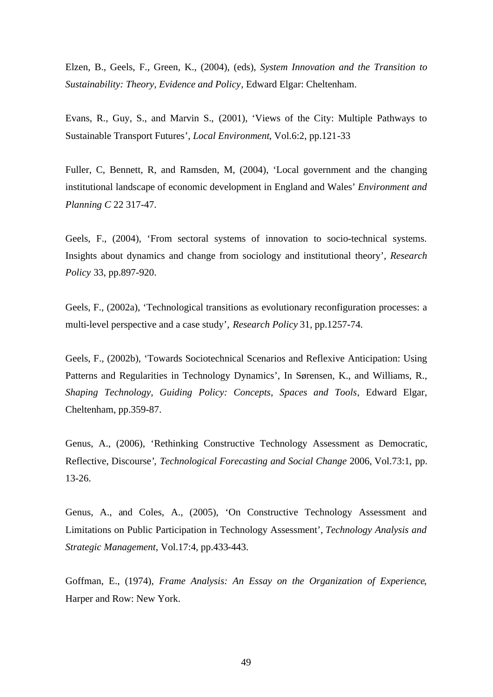Elzen, B., Geels, F., Green, K., (2004), (eds), *System Innovation and the Transition to Sustainability: Theory, Evidence and Policy*, Edward Elgar: Cheltenham.

Evans, R., Guy, S., and Marvin S., (2001), 'Views of the City: Multiple Pathways to Sustainable Transport Futures', *Local Environment*, Vol.6:2, pp.121-33

Fuller, C, Bennett, R, and Ramsden, M, (2004), 'Local government and the changing institutional landscape of economic development in England and Wales' *Environment and Planning C* 22 317-47.

Geels, F., (2004), 'From sectoral systems of innovation to socio-technical systems. Insights about dynamics and change from sociology and institutional theory', *Research Policy* 33, pp.897-920.

Geels, F., (2002a), 'Technological transitions as evolutionary reconfiguration processes: a multi-level perspective and a case study', *Research Policy* 31, pp.1257-74.

Geels, F., (2002b), 'Towards Sociotechnical Scenarios and Reflexive Anticipation: Using Patterns and Regularities in Technology Dynamics', In Sørensen, K., and Williams, R., *Shaping Technology, Guiding Policy: Concepts, Spaces and Tools*, Edward Elgar, Cheltenham, pp.359-87.

Genus, A., (2006), '[Rethinking Constructive Technology Assessment as Democratic,](http://www.ncl.ac.uk/nubs/research/publications/publication/28552) [Reflective, Discourse'](http://www.ncl.ac.uk/nubs/research/publications/publication/28552), *Technological Forecasting and Social Change* 2006, Vol.73:1, pp. 13-26.

Genus, A., and Coles, A., (2005), 'On Constructive Technology Assessment and Limitations on Public Participation in Technology Assessment', *Technology Analysis and Strategic Management*, Vol.17:4, pp.433-443.

Goffman, E., (1974), *Frame Analysis: An Essay on the Organization of Experience*, Harper and Row: New York.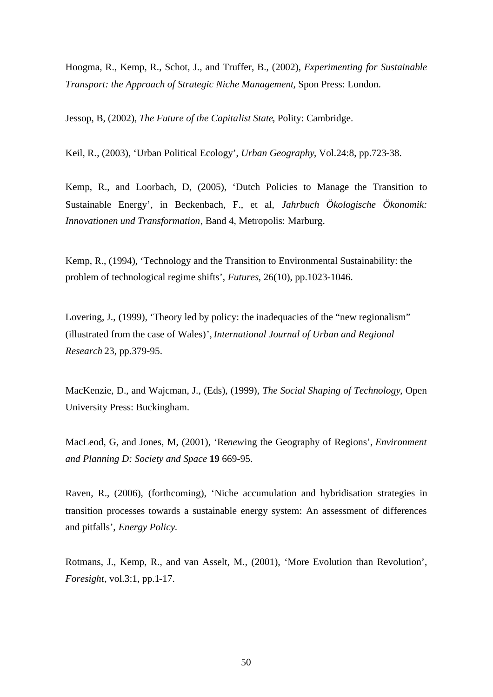Hoogma, R., Kemp, R., Schot, J., and Truffer, B., (2002), *Experimenting for Sustainable Transport: the Approach of Strategic Niche Management*, Spon Press: London.

Jessop, B, (2002), *The Future of the Capitalist State*, Polity: Cambridge.

Keil, R., (2003), 'Urban Political Ecology', *Urban Geography*, Vol.24:8, pp.723-38.

Kemp, R., and Loorbach, D, (2005), 'Dutch Policies to Manage the Transition to Sustainable Energy', in Beckenbach, F., et al, *Jahrbuch Ökologische Ökonomik: Innovationen und Transformation*, Band 4, Metropolis: Marburg.

Kemp, R., (1994), 'Technology and the Transition to Environmental Sustainability: the problem of technological regime shifts', *Futures*, 26(10), pp.1023-1046.

Lovering, J., (1999), 'Theory led by policy: the inadequacies of the "new regionalism" (illustrated from the case of Wales)', *International Journal of Urban and Regional Research* 23, pp.379-95.

MacKenzie, D., and Wajcman, J., (Eds), (1999), *The Social Shaping of Technology*, Open University Press: Buckingham.

MacLeod, G, and Jones, M, (2001), 'Re*new*ing the Geography of Regions', *Environment and Planning D: Society and Space* **19** 669-95.

Raven, R., (2006), (forthcoming), 'Niche accumulation and hybridisation strategies in transition processes towards a sustainable energy system: An assessment of differences and pitfalls', *Energy Policy*.

Rotmans, J., Kemp, R., and van Asselt, M., (2001), 'More Evolution than Revolution', *Foresight*, vol.3:1, pp.1-17.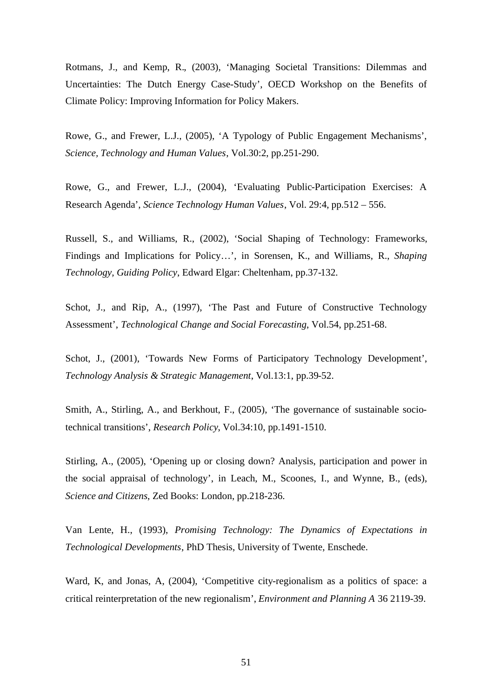Rotmans, J., and Kemp, R., (2003), 'Managing Societal Transitions: Dilemmas and Uncertainties: The Dutch Energy Case-Study', OECD Workshop on the Benefits of Climate Policy: Improving Information for Policy Makers.

Rowe, G., and Frewer, L.J., (2005), 'A Typology of Public Engagement Mechanisms', *Science, Technology and Human Values*, Vol.30:2, pp.251-290.

Rowe, G., and Frewer, L.J., (2004), 'Evaluating Public-Participation Exercises: A Research Agenda', *Science Technology Human Values*, Vol. 29:4, pp.512 – 556.

Russell, S., and Williams, R., (2002), 'Social Shaping of Technology: Frameworks, Findings and Implications for Policy…', in Sorensen, K., and Williams, R., *Shaping Technology, Guiding Policy*, Edward Elgar: Cheltenham, pp.37-132.

Schot, J., and Rip, A., (1997), 'The Past and Future of Constructive Technology Assessment', *Technological Change and Social Forecasting*, Vol.54, pp.251-68.

Schot, J., (2001), 'Towards New Forms of Participatory Technology Development', *Technology Analysis & Strategic Management*, Vol.13:1, pp.39-52.

Smith, A., Stirling, A., and Berkhout, F., (2005), 'The governance of sustainable sociotechnical transitions', *Research Policy*, Vol.34:10, pp.1491-1510.

Stirling, A., (2005), 'Opening up or closing down? Analysis, participation and power in the social appraisal of technology', in Leach, M., Scoones, I., and Wynne, B., (eds), *Science and Citizens*, Zed Books: London, pp.218-236.

Van Lente, H., (1993), *Promising Technology: The Dynamics of Expectations in Technological Developments*, PhD Thesis, University of Twente, Enschede.

Ward, K, and Jonas, A, (2004), 'Competitive city-regionalism as a politics of space: a critical reinterpretation of the new regionalism', *Environment and Planning A* 36 2119-39.